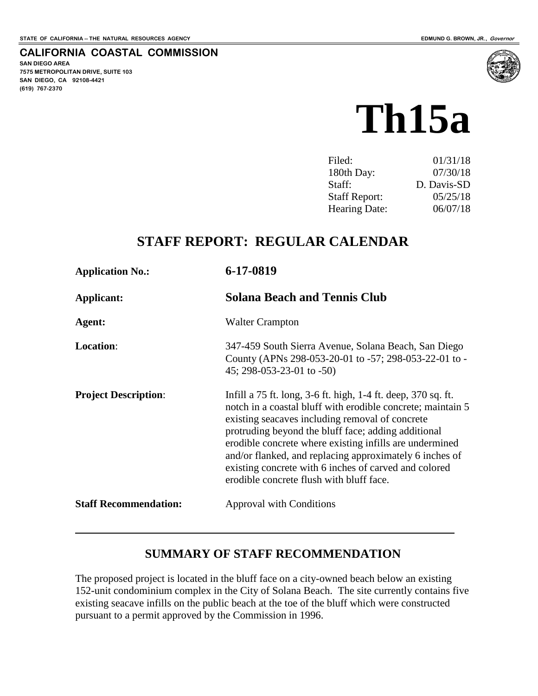#### **CALIFORNIA COASTAL COMMISSION**

**SAN DIEGO AREA 7575 METROPOLITAN DRIVE, SUITE 103 SAN DIEGO, CA 92108-4421 (619) 767-2370**



| Filed:               | 01/31/18    |
|----------------------|-------------|
| 180th Day:           | 07/30/18    |
| Staff:               | D. Davis-SD |
| <b>Staff Report:</b> | 05/25/18    |
| <b>Hearing Date:</b> | 06/07/18    |

# **STAFF REPORT: REGULAR CALENDAR**

| <b>Application No.:</b>      | 6-17-0819                                                                                                                                                                                                                                                                                                                                                                                                                                                         |
|------------------------------|-------------------------------------------------------------------------------------------------------------------------------------------------------------------------------------------------------------------------------------------------------------------------------------------------------------------------------------------------------------------------------------------------------------------------------------------------------------------|
| Applicant:                   | <b>Solana Beach and Tennis Club</b>                                                                                                                                                                                                                                                                                                                                                                                                                               |
| Agent:                       | <b>Walter Crampton</b>                                                                                                                                                                                                                                                                                                                                                                                                                                            |
| <b>Location:</b>             | 347-459 South Sierra Avenue, Solana Beach, San Diego<br>County (APNs 298-053-20-01 to -57; 298-053-22-01 to -<br>$45; 298-053-23-01$ to $-50$ )                                                                                                                                                                                                                                                                                                                   |
| <b>Project Description:</b>  | Infill a 75 ft. long, 3-6 ft. high, 1-4 ft. deep, 370 sq. ft.<br>notch in a coastal bluff with erodible concrete; maintain 5<br>existing seacaves including removal of concrete<br>protruding beyond the bluff face; adding additional<br>erodible concrete where existing infills are undermined<br>and/or flanked, and replacing approximately 6 inches of<br>existing concrete with 6 inches of carved and colored<br>erodible concrete flush with bluff face. |
| <b>Staff Recommendation:</b> | <b>Approval with Conditions</b>                                                                                                                                                                                                                                                                                                                                                                                                                                   |
|                              |                                                                                                                                                                                                                                                                                                                                                                                                                                                                   |

#### **SUMMARY OF STAFF RECOMMENDATION**

The proposed project is located in the bluff face on a city-owned beach below an existing 152-unit condominium complex in the City of Solana Beach. The site currently contains five existing seacave infills on the public beach at the toe of the bluff which were constructed pursuant to a permit approved by the Commission in 1996.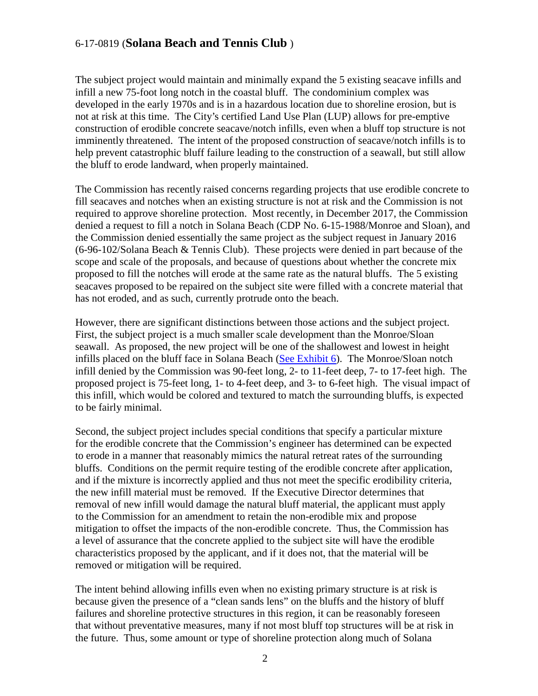The subject project would maintain and minimally expand the 5 existing seacave infills and infill a new 75-foot long notch in the coastal bluff. The condominium complex was developed in the early 1970s and is in a hazardous location due to shoreline erosion, but is not at risk at this time. The City's certified Land Use Plan (LUP) allows for pre-emptive construction of erodible concrete seacave/notch infills, even when a bluff top structure is not imminently threatened. The intent of the proposed construction of seacave/notch infills is to help prevent catastrophic bluff failure leading to the construction of a seawall, but still allow the bluff to erode landward, when properly maintained.

The Commission has recently raised concerns regarding projects that use erodible concrete to fill seacaves and notches when an existing structure is not at risk and the Commission is not required to approve shoreline protection. Most recently, in December 2017, the Commission denied a request to fill a notch in Solana Beach (CDP No. 6-15-1988/Monroe and Sloan), and the Commission denied essentially the same project as the subject request in January 2016 (6-96-102/Solana Beach & Tennis Club). These projects were denied in part because of the scope and scale of the proposals, and because of questions about whether the concrete mix proposed to fill the notches will erode at the same rate as the natural bluffs. The 5 existing seacaves proposed to be repaired on the subject site were filled with a concrete material that has not eroded, and as such, currently protrude onto the beach.

However, there are significant distinctions between those actions and the subject project. First, the subject project is a much smaller scale development than the Monroe/Sloan seawall. As proposed, the new project will be one of the shallowest and lowest in height infills placed on the bluff face in Solana Beach [\(See Exhibit 6\)](https://documents.coastal.ca.gov/reports/2018/6/th15a/th15a-6-2018-exhibits.pdf). The Monroe/Sloan notch infill denied by the Commission was 90-feet long, 2- to 11-feet deep, 7- to 17-feet high. The proposed project is 75-feet long, 1- to 4-feet deep, and 3- to 6-feet high. The visual impact of this infill, which would be colored and textured to match the surrounding bluffs, is expected to be fairly minimal.

Second, the subject project includes special conditions that specify a particular mixture for the erodible concrete that the Commission's engineer has determined can be expected to erode in a manner that reasonably mimics the natural retreat rates of the surrounding bluffs. Conditions on the permit require testing of the erodible concrete after application, and if the mixture is incorrectly applied and thus not meet the specific erodibility criteria, the new infill material must be removed. If the Executive Director determines that removal of new infill would damage the natural bluff material, the applicant must apply to the Commission for an amendment to retain the non-erodible mix and propose mitigation to offset the impacts of the non-erodible concrete. Thus, the Commission has a level of assurance that the concrete applied to the subject site will have the erodible characteristics proposed by the applicant, and if it does not, that the material will be removed or mitigation will be required.

The intent behind allowing infills even when no existing primary structure is at risk is because given the presence of a "clean sands lens" on the bluffs and the history of bluff failures and shoreline protective structures in this region, it can be reasonably foreseen that without preventative measures, many if not most bluff top structures will be at risk in the future. Thus, some amount or type of shoreline protection along much of Solana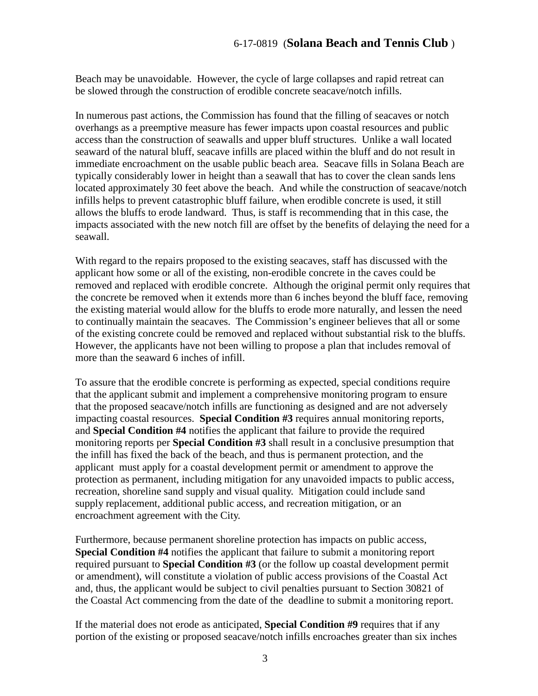Beach may be unavoidable. However, the cycle of large collapses and rapid retreat can be slowed through the construction of erodible concrete seacave/notch infills.

In numerous past actions, the Commission has found that the filling of seacaves or notch overhangs as a preemptive measure has fewer impacts upon coastal resources and public access than the construction of seawalls and upper bluff structures. Unlike a wall located seaward of the natural bluff, seacave infills are placed within the bluff and do not result in immediate encroachment on the usable public beach area. Seacave fills in Solana Beach are typically considerably lower in height than a seawall that has to cover the clean sands lens located approximately 30 feet above the beach. And while the construction of seacave/notch infills helps to prevent catastrophic bluff failure, when erodible concrete is used, it still allows the bluffs to erode landward. Thus, is staff is recommending that in this case, the impacts associated with the new notch fill are offset by the benefits of delaying the need for a seawall.

With regard to the repairs proposed to the existing seacaves, staff has discussed with the applicant how some or all of the existing, non-erodible concrete in the caves could be removed and replaced with erodible concrete. Although the original permit only requires that the concrete be removed when it extends more than 6 inches beyond the bluff face, removing the existing material would allow for the bluffs to erode more naturally, and lessen the need to continually maintain the seacaves. The Commission's engineer believes that all or some of the existing concrete could be removed and replaced without substantial risk to the bluffs. However, the applicants have not been willing to propose a plan that includes removal of more than the seaward 6 inches of infill.

To assure that the erodible concrete is performing as expected, special conditions require that the applicant submit and implement a comprehensive monitoring program to ensure that the proposed seacave/notch infills are functioning as designed and are not adversely impacting coastal resources. **Special Condition #3** requires annual monitoring reports, and **Special Condition #4** notifies the applicant that failure to provide the required monitoring reports per **Special Condition #3** shall result in a conclusive presumption that the infill has fixed the back of the beach, and thus is permanent protection, and the applicant must apply for a coastal development permit or amendment to approve the protection as permanent, including mitigation for any unavoided impacts to public access, recreation, shoreline sand supply and visual quality. Mitigation could include sand supply replacement, additional public access, and recreation mitigation, or an encroachment agreement with the City.

Furthermore, because permanent shoreline protection has impacts on public access, **Special Condition #4** notifies the applicant that failure to submit a monitoring report required pursuant to **Special Condition #3** (or the follow up coastal development permit or amendment), will constitute a violation of public access provisions of the Coastal Act and, thus, the applicant would be subject to civil penalties pursuant to Section 30821 of the Coastal Act commencing from the date of the deadline to submit a monitoring report.

If the material does not erode as anticipated, **Special Condition #9** requires that if any portion of the existing or proposed seacave/notch infills encroaches greater than six inches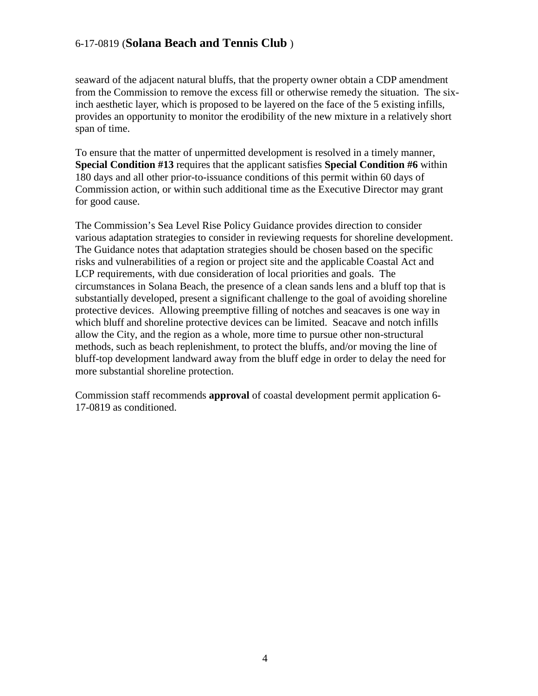seaward of the adjacent natural bluffs, that the property owner obtain a CDP amendment from the Commission to remove the excess fill or otherwise remedy the situation. The sixinch aesthetic layer, which is proposed to be layered on the face of the 5 existing infills, provides an opportunity to monitor the erodibility of the new mixture in a relatively short span of time.

To ensure that the matter of unpermitted development is resolved in a timely manner, **Special Condition #13** requires that the applicant satisfies **Special Condition #6** within 180 days and all other prior-to-issuance conditions of this permit within 60 days of Commission action, or within such additional time as the Executive Director may grant for good cause.

The Commission's Sea Level Rise Policy Guidance provides direction to consider various adaptation strategies to consider in reviewing requests for shoreline development. The Guidance notes that adaptation strategies should be chosen based on the specific risks and vulnerabilities of a region or project site and the applicable Coastal Act and LCP requirements, with due consideration of local priorities and goals. The circumstances in Solana Beach, the presence of a clean sands lens and a bluff top that is substantially developed, present a significant challenge to the goal of avoiding shoreline protective devices. Allowing preemptive filling of notches and seacaves is one way in which bluff and shoreline protective devices can be limited. Seacave and notch infills allow the City, and the region as a whole, more time to pursue other non-structural methods, such as beach replenishment, to protect the bluffs, and/or moving the line of bluff-top development landward away from the bluff edge in order to delay the need for more substantial shoreline protection.

Commission staff recommends **approval** of coastal development permit application 6- 17-0819 as conditioned.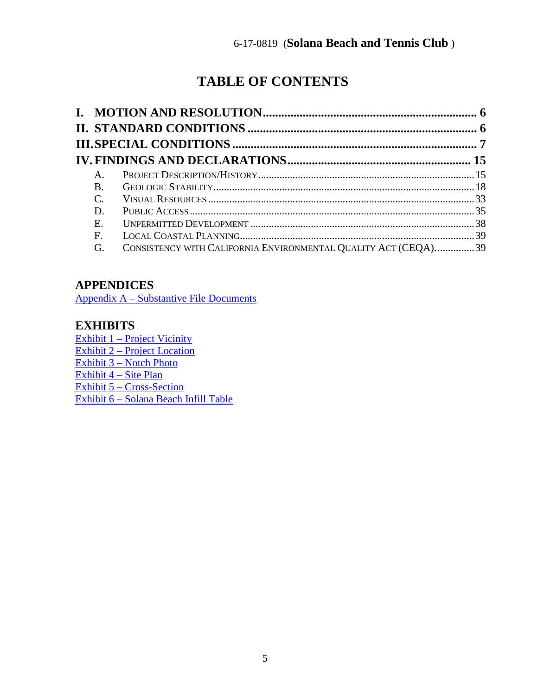# **TABLE OF CONTENTS**

| A.             |                                                                |  |
|----------------|----------------------------------------------------------------|--|
| <b>B.</b>      |                                                                |  |
| $\mathbf{C}$ . |                                                                |  |
| D.             |                                                                |  |
| Ε.             |                                                                |  |
| F.             |                                                                |  |
| G.             | CONSISTENCY WITH CALIFORNIA ENVIRONMENTAL QUALITY ACT (CEQA)39 |  |

## **APPENDICES**

[Appendix A – Substantive File Documents](#page-40-0)

## **EXHIBITS**

[Exhibit 1 – Project Vicinity](https://documents.coastal.ca.gov/reports/2018/6/th15a/th15a-6-2018-exhibits.pdf) [Exhibit 2 – Project Location](https://documents.coastal.ca.gov/reports/2018/6/th15a/th15a-6-2018-exhibits.pdf) [Exhibit 3 – Notch Photo](https://documents.coastal.ca.gov/reports/2018/6/th15a/th15a-6-2018-exhibits.pdf)  [Exhibit 4 – Site Plan](https://documents.coastal.ca.gov/reports/2018/6/th15a/th15a-6-2018-exhibits.pdf) [Exhibit 5 – Cross-Section](https://documents.coastal.ca.gov/reports/2018/6/th15a/th15a-6-2018-exhibits.pdf) [Exhibit 6 – Solana Beach Infill Table](https://documents.coastal.ca.gov/reports/2018/6/th15a/th15a-6-2018-exhibits.pdf)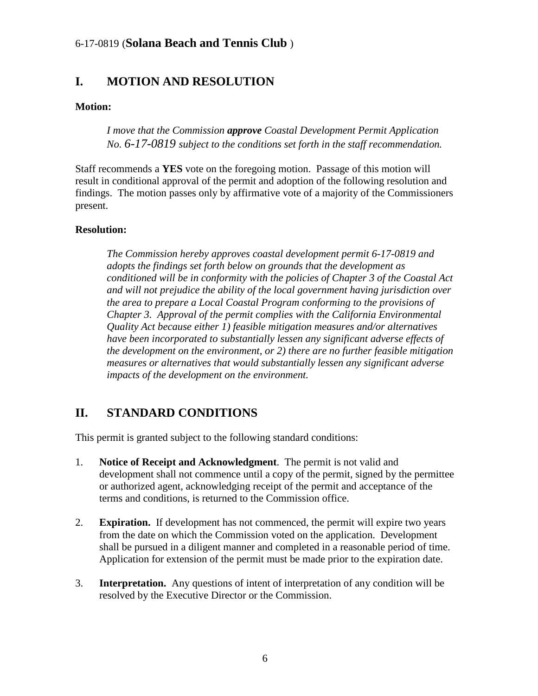# <span id="page-5-0"></span>**I. MOTION AND RESOLUTION**

#### **Motion:**

*I move that the Commission approve Coastal Development Permit Application No. 6-17-0819 subject to the conditions set forth in the staff recommendation.* 

Staff recommends a **YES** vote on the foregoing motion. Passage of this motion will result in conditional approval of the permit and adoption of the following resolution and findings. The motion passes only by affirmative vote of a majority of the Commissioners present.

#### **Resolution:**

*The Commission hereby approves coastal development permit 6-17-0819 and adopts the findings set forth below on grounds that the development as conditioned will be in conformity with the policies of Chapter 3 of the Coastal Act and will not prejudice the ability of the local government having jurisdiction over the area to prepare a Local Coastal Program conforming to the provisions of Chapter 3. Approval of the permit complies with the California Environmental Quality Act because either 1) feasible mitigation measures and/or alternatives have been incorporated to substantially lessen any significant adverse effects of the development on the environment, or 2) there are no further feasible mitigation measures or alternatives that would substantially lessen any significant adverse impacts of the development on the environment.* 

# <span id="page-5-1"></span>**II. STANDARD CONDITIONS**

This permit is granted subject to the following standard conditions:

- 1. **Notice of Receipt and Acknowledgment**. The permit is not valid and development shall not commence until a copy of the permit, signed by the permittee or authorized agent, acknowledging receipt of the permit and acceptance of the terms and conditions, is returned to the Commission office.
- 2. **Expiration.** If development has not commenced, the permit will expire two years from the date on which the Commission voted on the application. Development shall be pursued in a diligent manner and completed in a reasonable period of time. Application for extension of the permit must be made prior to the expiration date.
- 3. **Interpretation.** Any questions of intent of interpretation of any condition will be resolved by the Executive Director or the Commission.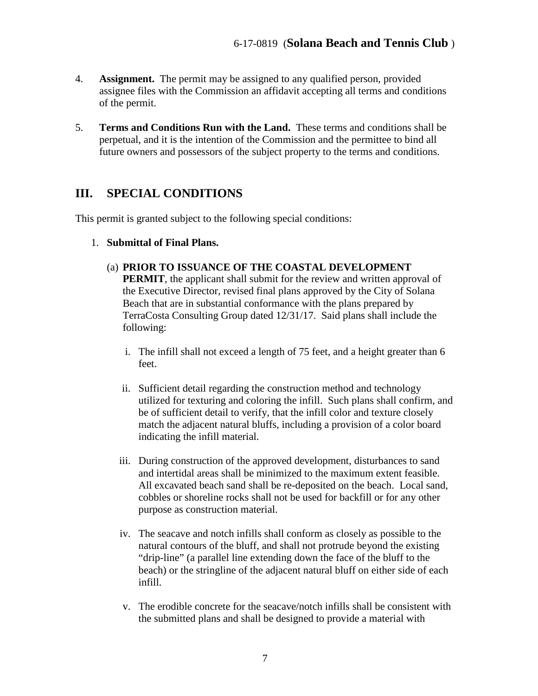- 4. **Assignment.** The permit may be assigned to any qualified person, provided assignee files with the Commission an affidavit accepting all terms and conditions of the permit.
- 5. **Terms and Conditions Run with the Land.** These terms and conditions shall be perpetual, and it is the intention of the Commission and the permittee to bind all future owners and possessors of the subject property to the terms and conditions.

# <span id="page-6-0"></span>**III. SPECIAL CONDITIONS**

This permit is granted subject to the following special conditions:

- 1. **Submittal of Final Plans.**
	- (a) **PRIOR TO ISSUANCE OF THE COASTAL DEVELOPMENT**

**PERMIT**, the applicant shall submit for the review and written approval of the Executive Director, revised final plans approved by the City of Solana Beach that are in substantial conformance with the plans prepared by TerraCosta Consulting Group dated 12/31/17. Said plans shall include the following:

- i. The infill shall not exceed a length of 75 feet, and a height greater than 6 feet.
- ii. Sufficient detail regarding the construction method and technology utilized for texturing and coloring the infill. Such plans shall confirm, and be of sufficient detail to verify, that the infill color and texture closely match the adjacent natural bluffs, including a provision of a color board indicating the infill material.
- iii. During construction of the approved development, disturbances to sand and intertidal areas shall be minimized to the maximum extent feasible. All excavated beach sand shall be re-deposited on the beach. Local sand, cobbles or shoreline rocks shall not be used for backfill or for any other purpose as construction material.
- iv. The seacave and notch infills shall conform as closely as possible to the natural contours of the bluff, and shall not protrude beyond the existing "drip-line" (a parallel line extending down the face of the bluff to the beach) or the stringline of the adjacent natural bluff on either side of each infill.
- v. The erodible concrete for the seacave/notch infills shall be consistent with the submitted plans and shall be designed to provide a material with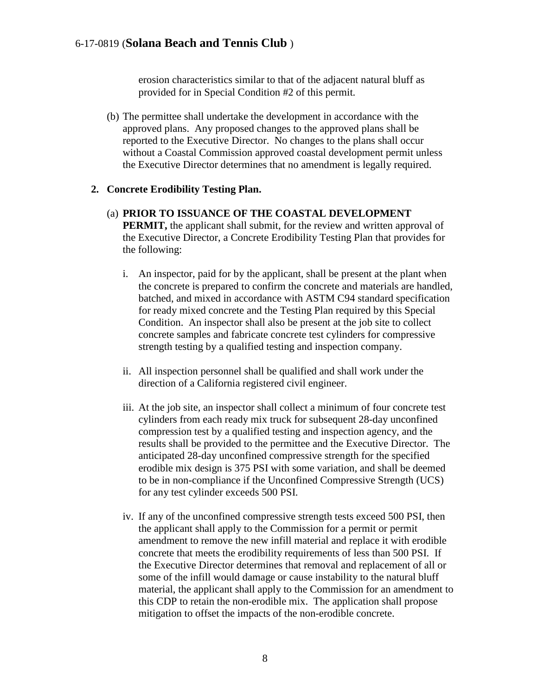erosion characteristics similar to that of the adjacent natural bluff as provided for in Special Condition #2 of this permit.

(b) The permittee shall undertake the development in accordance with the approved plans. Any proposed changes to the approved plans shall be reported to the Executive Director. No changes to the plans shall occur without a Coastal Commission approved coastal development permit unless the Executive Director determines that no amendment is legally required.

#### **2. Concrete Erodibility Testing Plan.**

- (a) **PRIOR TO ISSUANCE OF THE COASTAL DEVELOPMENT PERMIT,** the applicant shall submit, for the review and written approval of the Executive Director, a Concrete Erodibility Testing Plan that provides for the following:
	- i. An inspector, paid for by the applicant, shall be present at the plant when the concrete is prepared to confirm the concrete and materials are handled, batched, and mixed in accordance with ASTM C94 standard specification for ready mixed concrete and the Testing Plan required by this Special Condition. An inspector shall also be present at the job site to collect concrete samples and fabricate concrete test cylinders for compressive strength testing by a qualified testing and inspection company.
	- ii. All inspection personnel shall be qualified and shall work under the direction of a California registered civil engineer.
	- iii. At the job site, an inspector shall collect a minimum of four concrete test cylinders from each ready mix truck for subsequent 28-day unconfined compression test by a qualified testing and inspection agency, and the results shall be provided to the permittee and the Executive Director. The anticipated 28-day unconfined compressive strength for the specified erodible mix design is 375 PSI with some variation, and shall be deemed to be in non-compliance if the Unconfined Compressive Strength (UCS) for any test cylinder exceeds 500 PSI.
	- iv. If any of the unconfined compressive strength tests exceed 500 PSI, then the applicant shall apply to the Commission for a permit or permit amendment to remove the new infill material and replace it with erodible concrete that meets the erodibility requirements of less than 500 PSI. If the Executive Director determines that removal and replacement of all or some of the infill would damage or cause instability to the natural bluff material, the applicant shall apply to the Commission for an amendment to this CDP to retain the non-erodible mix. The application shall propose mitigation to offset the impacts of the non-erodible concrete.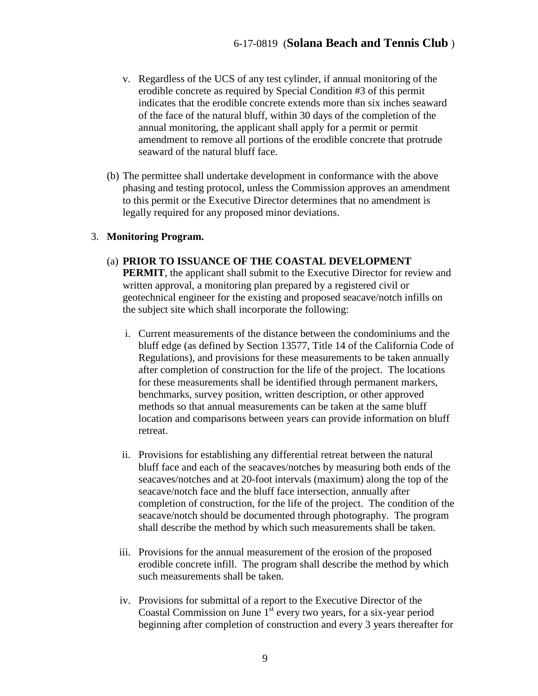- v. Regardless of the UCS of any test cylinder, if annual monitoring of the erodible concrete as required by Special Condition #3 of this permit indicates that the erodible concrete extends more than six inches seaward of the face of the natural bluff, within 30 days of the completion of the annual monitoring, the applicant shall apply for a permit or permit amendment to remove all portions of the erodible concrete that protrude seaward of the natural bluff face.
- (b) The permittee shall undertake development in conformance with the above phasing and testing protocol, unless the Commission approves an amendment to this permit or the Executive Director determines that no amendment is legally required for any proposed minor deviations.

#### 3. **Monitoring Program.**

- (a) **PRIOR TO ISSUANCE OF THE COASTAL DEVELOPMENT PERMIT**, the applicant shall submit to the Executive Director for review and written approval, a monitoring plan prepared by a registered civil or geotechnical engineer for the existing and proposed seacave/notch infills on the subject site which shall incorporate the following:
	- i. Current measurements of the distance between the condominiums and the bluff edge (as defined by Section 13577, Title 14 of the California Code of Regulations), and provisions for these measurements to be taken annually after completion of construction for the life of the project. The locations for these measurements shall be identified through permanent markers, benchmarks, survey position, written description, or other approved methods so that annual measurements can be taken at the same bluff location and comparisons between years can provide information on bluff retreat.
	- ii. Provisions for establishing any differential retreat between the natural bluff face and each of the seacaves/notches by measuring both ends of the seacaves/notches and at 20-foot intervals (maximum) along the top of the seacave/notch face and the bluff face intersection, annually after completion of construction, for the life of the project. The condition of the seacave/notch should be documented through photography. The program shall describe the method by which such measurements shall be taken.
	- iii. Provisions for the annual measurement of the erosion of the proposed erodible concrete infill. The program shall describe the method by which such measurements shall be taken.
	- iv. Provisions for submittal of a report to the Executive Director of the Coastal Commission on June  $1<sup>st</sup>$  every two years, for a six-year period beginning after completion of construction and every 3 years thereafter for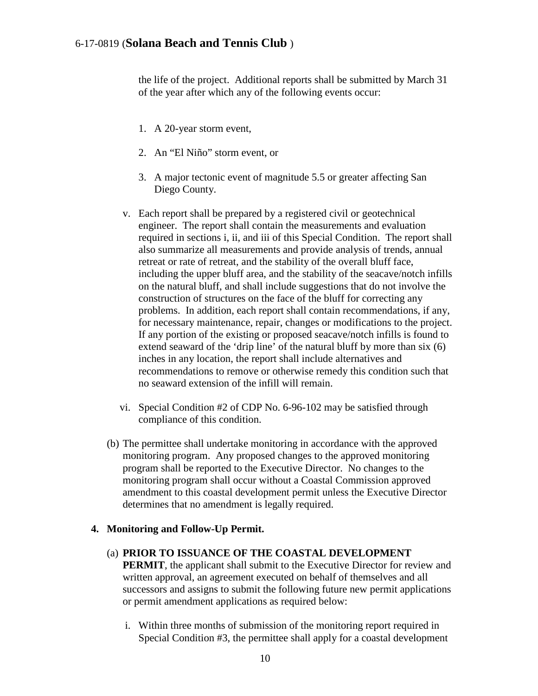the life of the project. Additional reports shall be submitted by March 31 of the year after which any of the following events occur:

- 1. A 20-year storm event,
- 2. An "El Niño" storm event, or
- 3. A major tectonic event of magnitude 5.5 or greater affecting San Diego County.
- v. Each report shall be prepared by a registered civil or geotechnical engineer. The report shall contain the measurements and evaluation required in sections i, ii, and iii of this Special Condition. The report shall also summarize all measurements and provide analysis of trends, annual retreat or rate of retreat, and the stability of the overall bluff face, including the upper bluff area, and the stability of the seacave/notch infills on the natural bluff, and shall include suggestions that do not involve the construction of structures on the face of the bluff for correcting any problems. In addition, each report shall contain recommendations, if any, for necessary maintenance, repair, changes or modifications to the project. If any portion of the existing or proposed seacave/notch infills is found to extend seaward of the 'drip line' of the natural bluff by more than six (6) inches in any location, the report shall include alternatives and recommendations to remove or otherwise remedy this condition such that no seaward extension of the infill will remain.
- vi. Special Condition #2 of CDP No. 6-96-102 may be satisfied through compliance of this condition.
- (b) The permittee shall undertake monitoring in accordance with the approved monitoring program. Any proposed changes to the approved monitoring program shall be reported to the Executive Director. No changes to the monitoring program shall occur without a Coastal Commission approved amendment to this coastal development permit unless the Executive Director determines that no amendment is legally required.

#### **4. Monitoring and Follow-Up Permit.**

#### (a) **PRIOR TO ISSUANCE OF THE COASTAL DEVELOPMENT**

**PERMIT**, the applicant shall submit to the Executive Director for review and written approval, an agreement executed on behalf of themselves and all successors and assigns to submit the following future new permit applications or permit amendment applications as required below:

i. Within three months of submission of the monitoring report required in Special Condition #3, the permittee shall apply for a coastal development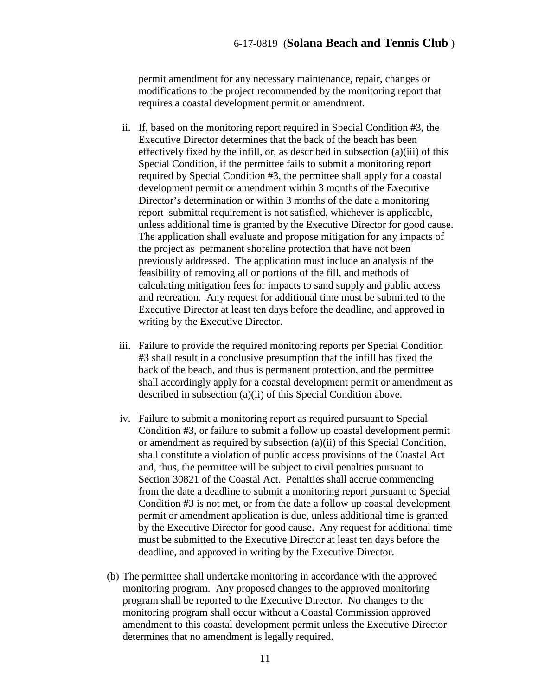permit amendment for any necessary maintenance, repair, changes or modifications to the project recommended by the monitoring report that requires a coastal development permit or amendment.

- ii. If, based on the monitoring report required in Special Condition #3, the Executive Director determines that the back of the beach has been effectively fixed by the infill, or, as described in subsection (a)(iii) of this Special Condition, if the permittee fails to submit a monitoring report required by Special Condition #3, the permittee shall apply for a coastal development permit or amendment within 3 months of the Executive Director's determination or within 3 months of the date a monitoring report submittal requirement is not satisfied, whichever is applicable, unless additional time is granted by the Executive Director for good cause. The application shall evaluate and propose mitigation for any impacts of the project as permanent shoreline protection that have not been previously addressed. The application must include an analysis of the feasibility of removing all or portions of the fill, and methods of calculating mitigation fees for impacts to sand supply and public access and recreation. Any request for additional time must be submitted to the Executive Director at least ten days before the deadline, and approved in writing by the Executive Director.
- iii. Failure to provide the required monitoring reports per Special Condition #3 shall result in a conclusive presumption that the infill has fixed the back of the beach, and thus is permanent protection, and the permittee shall accordingly apply for a coastal development permit or amendment as described in subsection (a)(ii) of this Special Condition above.
- iv. Failure to submit a monitoring report as required pursuant to Special Condition #3, or failure to submit a follow up coastal development permit or amendment as required by subsection (a)(ii) of this Special Condition, shall constitute a violation of public access provisions of the Coastal Act and, thus, the permittee will be subject to civil penalties pursuant to Section 30821 of the Coastal Act. Penalties shall accrue commencing from the date a deadline to submit a monitoring report pursuant to Special Condition #3 is not met, or from the date a follow up coastal development permit or amendment application is due, unless additional time is granted by the Executive Director for good cause. Any request for additional time must be submitted to the Executive Director at least ten days before the deadline, and approved in writing by the Executive Director.
- (b) The permittee shall undertake monitoring in accordance with the approved monitoring program. Any proposed changes to the approved monitoring program shall be reported to the Executive Director. No changes to the monitoring program shall occur without a Coastal Commission approved amendment to this coastal development permit unless the Executive Director determines that no amendment is legally required.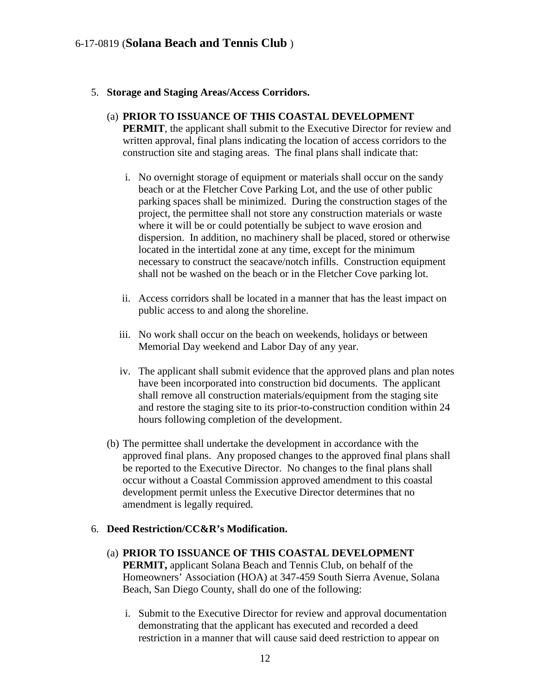#### 5. **Storage and Staging Areas/Access Corridors.**

#### (a) **PRIOR TO ISSUANCE OF THIS COASTAL DEVELOPMENT PERMIT**, the applicant shall submit to the Executive Director for review and written approval, final plans indicating the location of access corridors to the construction site and staging areas. The final plans shall indicate that:

- i. No overnight storage of equipment or materials shall occur on the sandy beach or at the Fletcher Cove Parking Lot, and the use of other public parking spaces shall be minimized. During the construction stages of the project, the permittee shall not store any construction materials or waste where it will be or could potentially be subject to wave erosion and dispersion. In addition, no machinery shall be placed, stored or otherwise located in the intertidal zone at any time, except for the minimum necessary to construct the seacave/notch infills. Construction equipment shall not be washed on the beach or in the Fletcher Cove parking lot.
- ii. Access corridors shall be located in a manner that has the least impact on public access to and along the shoreline.
- iii. No work shall occur on the beach on weekends, holidays or between Memorial Day weekend and Labor Day of any year.
- iv. The applicant shall submit evidence that the approved plans and plan notes have been incorporated into construction bid documents. The applicant shall remove all construction materials/equipment from the staging site and restore the staging site to its prior-to-construction condition within 24 hours following completion of the development.
- (b) The permittee shall undertake the development in accordance with the approved final plans. Any proposed changes to the approved final plans shall be reported to the Executive Director. No changes to the final plans shall occur without a Coastal Commission approved amendment to this coastal development permit unless the Executive Director determines that no amendment is legally required.

#### 6. **Deed Restriction/CC&R's Modification.**

- (a) **PRIOR TO ISSUANCE OF THIS COASTAL DEVELOPMENT PERMIT,** applicant Solana Beach and Tennis Club, on behalf of the Homeowners' Association (HOA) at 347-459 South Sierra Avenue, Solana Beach, San Diego County, shall do one of the following:
	- i. Submit to the Executive Director for review and approval documentation demonstrating that the applicant has executed and recorded a deed restriction in a manner that will cause said deed restriction to appear on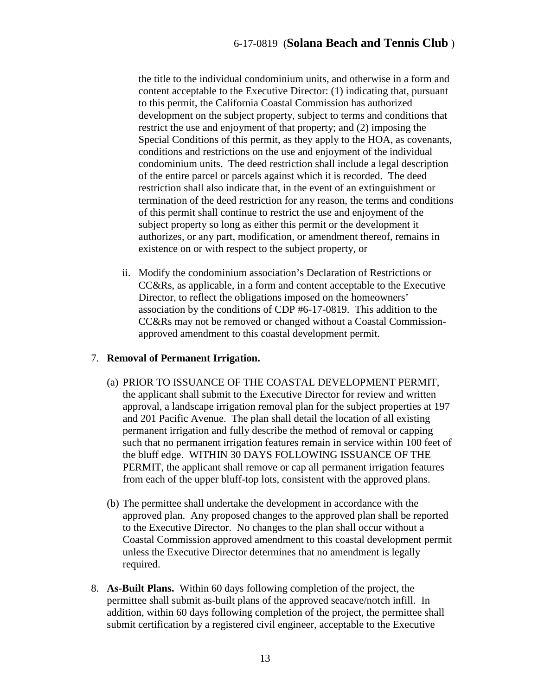the title to the individual condominium units, and otherwise in a form and content acceptable to the Executive Director: (1) indicating that, pursuant to this permit, the California Coastal Commission has authorized development on the subject property, subject to terms and conditions that restrict the use and enjoyment of that property; and (2) imposing the Special Conditions of this permit, as they apply to the HOA, as covenants, conditions and restrictions on the use and enjoyment of the individual condominium units. The deed restriction shall include a legal description of the entire parcel or parcels against which it is recorded. The deed restriction shall also indicate that, in the event of an extinguishment or termination of the deed restriction for any reason, the terms and conditions of this permit shall continue to restrict the use and enjoyment of the subject property so long as either this permit or the development it authorizes, or any part, modification, or amendment thereof, remains in existence on or with respect to the subject property, or

ii. Modify the condominium association's Declaration of Restrictions or CC&Rs, as applicable, in a form and content acceptable to the Executive Director, to reflect the obligations imposed on the homeowners' association by the conditions of CDP #6-17-0819. This addition to the CC&Rs may not be removed or changed without a Coastal Commissionapproved amendment to this coastal development permit.

#### 7. **Removal of Permanent Irrigation.**

- (a) PRIOR TO ISSUANCE OF THE COASTAL DEVELOPMENT PERMIT, the applicant shall submit to the Executive Director for review and written approval, a landscape irrigation removal plan for the subject properties at 197 and 201 Pacific Avenue. The plan shall detail the location of all existing permanent irrigation and fully describe the method of removal or capping such that no permanent irrigation features remain in service within 100 feet of the bluff edge. WITHIN 30 DAYS FOLLOWING ISSUANCE OF THE PERMIT, the applicant shall remove or cap all permanent irrigation features from each of the upper bluff-top lots, consistent with the approved plans.
- (b) The permittee shall undertake the development in accordance with the approved plan. Any proposed changes to the approved plan shall be reported to the Executive Director. No changes to the plan shall occur without a Coastal Commission approved amendment to this coastal development permit unless the Executive Director determines that no amendment is legally required.
- 8. **As-Built Plans.** Within 60 days following completion of the project, the permittee shall submit as-built plans of the approved seacave/notch infill. In addition, within 60 days following completion of the project, the permittee shall submit certification by a registered civil engineer, acceptable to the Executive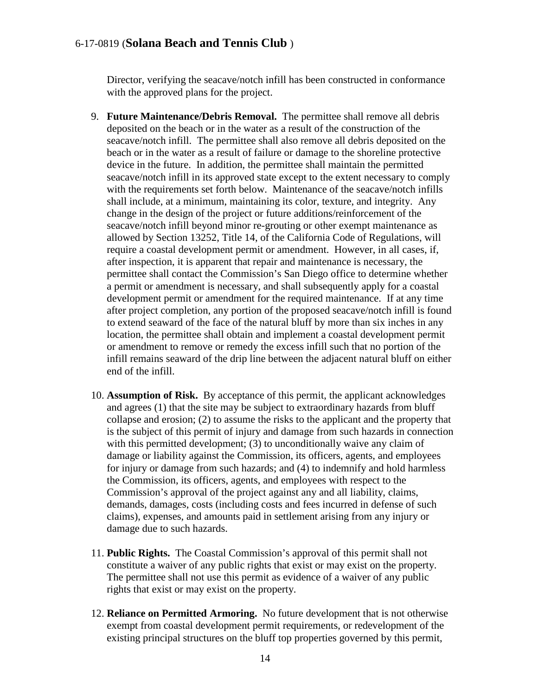Director, verifying the seacave/notch infill has been constructed in conformance with the approved plans for the project.

- 9. **Future Maintenance/Debris Removal.** The permittee shall remove all debris deposited on the beach or in the water as a result of the construction of the seacave/notch infill. The permittee shall also remove all debris deposited on the beach or in the water as a result of failure or damage to the shoreline protective device in the future. In addition, the permittee shall maintain the permitted seacave/notch infill in its approved state except to the extent necessary to comply with the requirements set forth below. Maintenance of the seacave/notch infills shall include, at a minimum, maintaining its color, texture, and integrity. Any change in the design of the project or future additions/reinforcement of the seacave/notch infill beyond minor re-grouting or other exempt maintenance as allowed by Section 13252, Title 14, of the California Code of Regulations, will require a coastal development permit or amendment. However, in all cases, if, after inspection, it is apparent that repair and maintenance is necessary, the permittee shall contact the Commission's San Diego office to determine whether a permit or amendment is necessary, and shall subsequently apply for a coastal development permit or amendment for the required maintenance. If at any time after project completion, any portion of the proposed seacave/notch infill is found to extend seaward of the face of the natural bluff by more than six inches in any location, the permittee shall obtain and implement a coastal development permit or amendment to remove or remedy the excess infill such that no portion of the infill remains seaward of the drip line between the adjacent natural bluff on either end of the infill.
- 10. **Assumption of Risk.** By acceptance of this permit, the applicant acknowledges and agrees (1) that the site may be subject to extraordinary hazards from bluff collapse and erosion; (2) to assume the risks to the applicant and the property that is the subject of this permit of injury and damage from such hazards in connection with this permitted development; (3) to unconditionally waive any claim of damage or liability against the Commission, its officers, agents, and employees for injury or damage from such hazards; and (4) to indemnify and hold harmless the Commission, its officers, agents, and employees with respect to the Commission's approval of the project against any and all liability, claims, demands, damages, costs (including costs and fees incurred in defense of such claims), expenses, and amounts paid in settlement arising from any injury or damage due to such hazards.
- 11. **Public Rights.** The Coastal Commission's approval of this permit shall not constitute a waiver of any public rights that exist or may exist on the property. The permittee shall not use this permit as evidence of a waiver of any public rights that exist or may exist on the property.
- 12. **Reliance on Permitted Armoring.** No future development that is not otherwise exempt from coastal development permit requirements, or redevelopment of the existing principal structures on the bluff top properties governed by this permit,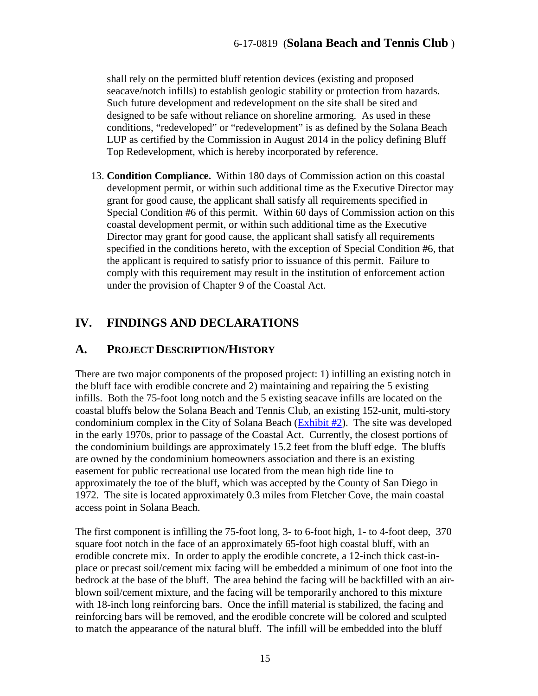shall rely on the permitted bluff retention devices (existing and proposed seacave/notch infills) to establish geologic stability or protection from hazards. Such future development and redevelopment on the site shall be sited and designed to be safe without reliance on shoreline armoring. As used in these conditions, "redeveloped" or "redevelopment" is as defined by the Solana Beach LUP as certified by the Commission in August 2014 in the policy defining Bluff Top Redevelopment, which is hereby incorporated by reference.

13. **Condition Compliance.** Within 180 days of Commission action on this coastal development permit, or within such additional time as the Executive Director may grant for good cause, the applicant shall satisfy all requirements specified in Special Condition #6 of this permit. Within 60 days of Commission action on this coastal development permit, or within such additional time as the Executive Director may grant for good cause, the applicant shall satisfy all requirements specified in the conditions hereto, with the exception of Special Condition #6, that the applicant is required to satisfy prior to issuance of this permit. Failure to comply with this requirement may result in the institution of enforcement action under the provision of Chapter 9 of the Coastal Act.

# <span id="page-14-0"></span>**IV. FINDINGS AND DECLARATIONS**

## <span id="page-14-1"></span>**A. PROJECT DESCRIPTION/HISTORY**

There are two major components of the proposed project: 1) infilling an existing notch in the bluff face with erodible concrete and 2) maintaining and repairing the 5 existing infills. Both the 75-foot long notch and the 5 existing seacave infills are located on the coastal bluffs below the Solana Beach and Tennis Club, an existing 152-unit, multi-story condominium complex in the City of Solana Beach [\(Exhibit #2\)](https://documents.coastal.ca.gov/reports/2018/6/th15a/th15a-6-2018-exhibits.pdf). The site was developed in the early 1970s, prior to passage of the Coastal Act. Currently, the closest portions of the condominium buildings are approximately 15.2 feet from the bluff edge. The bluffs are owned by the condominium homeowners association and there is an existing easement for public recreational use located from the mean high tide line to approximately the toe of the bluff, which was accepted by the County of San Diego in 1972. The site is located approximately 0.3 miles from Fletcher Cove, the main coastal access point in Solana Beach.

The first component is infilling the 75-foot long, 3- to 6-foot high, 1- to 4-foot deep, 370 square foot notch in the face of an approximately 65-foot high coastal bluff, with an erodible concrete mix. In order to apply the erodible concrete, a 12-inch thick cast-inplace or precast soil/cement mix facing will be embedded a minimum of one foot into the bedrock at the base of the bluff. The area behind the facing will be backfilled with an airblown soil/cement mixture, and the facing will be temporarily anchored to this mixture with 18-inch long reinforcing bars. Once the infill material is stabilized, the facing and reinforcing bars will be removed, and the erodible concrete will be colored and sculpted to match the appearance of the natural bluff. The infill will be embedded into the bluff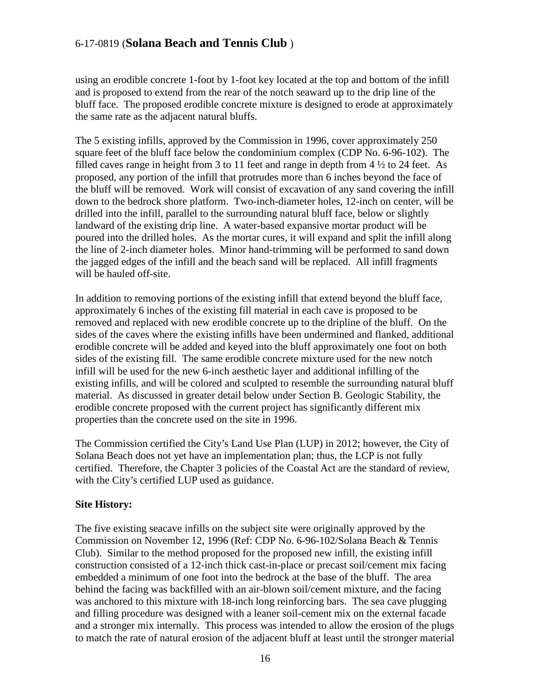using an erodible concrete 1-foot by 1-foot key located at the top and bottom of the infill and is proposed to extend from the rear of the notch seaward up to the drip line of the bluff face. The proposed erodible concrete mixture is designed to erode at approximately the same rate as the adjacent natural bluffs.

The 5 existing infills, approved by the Commission in 1996, cover approximately 250 square feet of the bluff face below the condominium complex (CDP No. 6-96-102). The filled caves range in height from 3 to 11 feet and range in depth from 4 ½ to 24 feet. As proposed, any portion of the infill that protrudes more than 6 inches beyond the face of the bluff will be removed. Work will consist of excavation of any sand covering the infill down to the bedrock shore platform. Two-inch-diameter holes, 12-inch on center, will be drilled into the infill, parallel to the surrounding natural bluff face, below or slightly landward of the existing drip line. A water-based expansive mortar product will be poured into the drilled holes. As the mortar cures, it will expand and split the infill along the line of 2-inch diameter holes. Minor hand-trimming will be performed to sand down the jagged edges of the infill and the beach sand will be replaced. All infill fragments will be hauled off-site.

In addition to removing portions of the existing infill that extend beyond the bluff face, approximately 6 inches of the existing fill material in each cave is proposed to be removed and replaced with new erodible concrete up to the dripline of the bluff. On the sides of the caves where the existing infills have been undermined and flanked, additional erodible concrete will be added and keyed into the bluff approximately one foot on both sides of the existing fill. The same erodible concrete mixture used for the new notch infill will be used for the new 6-inch aesthetic layer and additional infilling of the existing infills, and will be colored and sculpted to resemble the surrounding natural bluff material. As discussed in greater detail below under Section B. Geologic Stability, the erodible concrete proposed with the current project has significantly different mix properties than the concrete used on the site in 1996.

The Commission certified the City's Land Use Plan (LUP) in 2012; however, the City of Solana Beach does not yet have an implementation plan; thus, the LCP is not fully certified. Therefore, the Chapter 3 policies of the Coastal Act are the standard of review, with the City's certified LUP used as guidance.

#### **Site History:**

The five existing seacave infills on the subject site were originally approved by the Commission on November 12, 1996 (Ref: CDP No. 6-96-102/Solana Beach & Tennis Club). Similar to the method proposed for the proposed new infill, the existing infill construction consisted of a 12-inch thick cast-in-place or precast soil/cement mix facing embedded a minimum of one foot into the bedrock at the base of the bluff. The area behind the facing was backfilled with an air-blown soil/cement mixture, and the facing was anchored to this mixture with 18-inch long reinforcing bars. The sea cave plugging and filling procedure was designed with a leaner soil-cement mix on the external facade and a stronger mix internally. This process was intended to allow the erosion of the plugs to match the rate of natural erosion of the adjacent bluff at least until the stronger material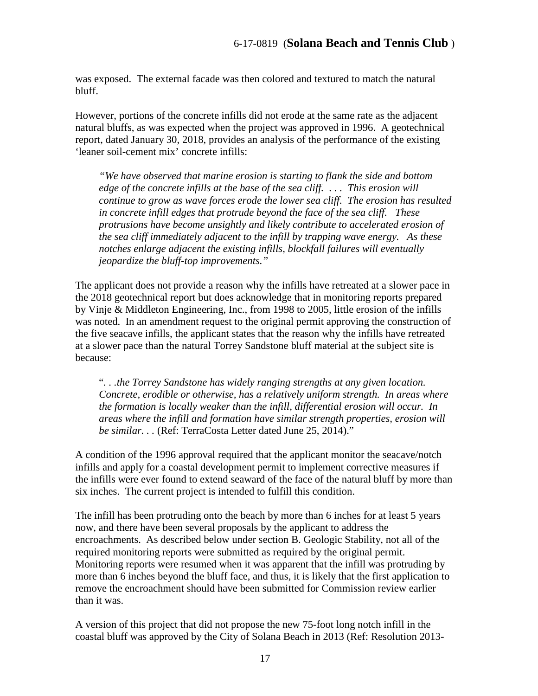was exposed. The external facade was then colored and textured to match the natural bluff.

However, portions of the concrete infills did not erode at the same rate as the adjacent natural bluffs, as was expected when the project was approved in 1996. A geotechnical report, dated January 30, 2018, provides an analysis of the performance of the existing 'leaner soil-cement mix' concrete infills:

*"We have observed that marine erosion is starting to flank the side and bottom edge of the concrete infills at the base of the sea cliff. . . . This erosion will continue to grow as wave forces erode the lower sea cliff. The erosion has resulted in concrete infill edges that protrude beyond the face of the sea cliff. These protrusions have become unsightly and likely contribute to accelerated erosion of the sea cliff immediately adjacent to the infill by trapping wave energy. As these notches enlarge adjacent the existing infills, blockfall failures will eventually jeopardize the bluff-top improvements."* 

The applicant does not provide a reason why the infills have retreated at a slower pace in the 2018 geotechnical report but does acknowledge that in monitoring reports prepared by Vinje & Middleton Engineering, Inc., from 1998 to 2005, little erosion of the infills was noted. In an amendment request to the original permit approving the construction of the five seacave infills, the applicant states that the reason why the infills have retreated at a slower pace than the natural Torrey Sandstone bluff material at the subject site is because:

"*. . .the Torrey Sandstone has widely ranging strengths at any given location. Concrete, erodible or otherwise, has a relatively uniform strength. In areas where the formation is locally weaker than the infill, differential erosion will occur. In areas where the infill and formation have similar strength properties, erosion will be similar. . .* (Ref: TerraCosta Letter dated June 25, 2014)."

A condition of the 1996 approval required that the applicant monitor the seacave/notch infills and apply for a coastal development permit to implement corrective measures if the infills were ever found to extend seaward of the face of the natural bluff by more than six inches. The current project is intended to fulfill this condition.

The infill has been protruding onto the beach by more than 6 inches for at least 5 years now, and there have been several proposals by the applicant to address the encroachments. As described below under section B. Geologic Stability, not all of the required monitoring reports were submitted as required by the original permit. Monitoring reports were resumed when it was apparent that the infill was protruding by more than 6 inches beyond the bluff face, and thus, it is likely that the first application to remove the encroachment should have been submitted for Commission review earlier than it was.

A version of this project that did not propose the new 75-foot long notch infill in the coastal bluff was approved by the City of Solana Beach in 2013 (Ref: Resolution 2013-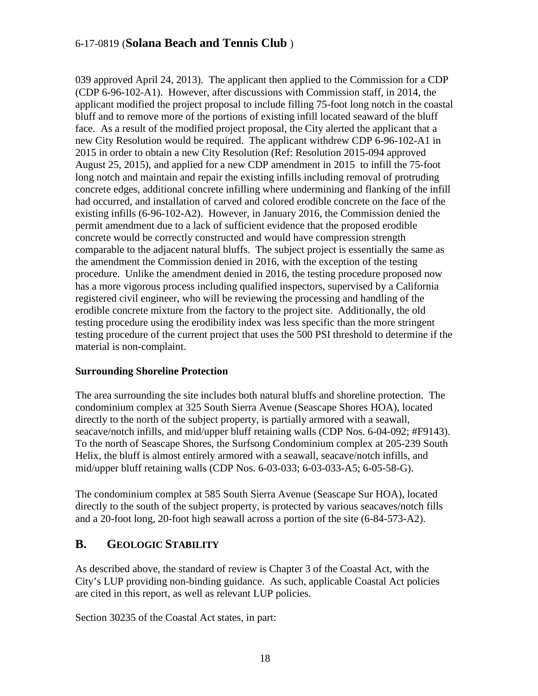039 approved April 24, 2013). The applicant then applied to the Commission for a CDP (CDP 6-96-102-A1). However, after discussions with Commission staff, in 2014, the applicant modified the project proposal to include filling 75-foot long notch in the coastal bluff and to remove more of the portions of existing infill located seaward of the bluff face. As a result of the modified project proposal, the City alerted the applicant that a new City Resolution would be required. The applicant withdrew CDP 6-96-102-A1 in 2015 in order to obtain a new City Resolution (Ref: Resolution 2015-094 approved August 25, 2015), and applied for a new CDP amendment in 2015 to infill the 75-foot long notch and maintain and repair the existing infills including removal of protruding concrete edges, additional concrete infilling where undermining and flanking of the infill had occurred, and installation of carved and colored erodible concrete on the face of the existing infills (6-96-102-A2). However, in January 2016, the Commission denied the permit amendment due to a lack of sufficient evidence that the proposed erodible concrete would be correctly constructed and would have compression strength comparable to the adjacent natural bluffs. The subject project is essentially the same as the amendment the Commission denied in 2016, with the exception of the testing procedure. Unlike the amendment denied in 2016, the testing procedure proposed now has a more vigorous process including qualified inspectors, supervised by a California registered civil engineer, who will be reviewing the processing and handling of the erodible concrete mixture from the factory to the project site. Additionally, the old testing procedure using the erodibility index was less specific than the more stringent testing procedure of the current project that uses the 500 PSI threshold to determine if the material is non-complaint.

#### **Surrounding Shoreline Protection**

The area surrounding the site includes both natural bluffs and shoreline protection. The condominium complex at 325 South Sierra Avenue (Seascape Shores HOA), located directly to the north of the subject property, is partially armored with a seawall, seacave/notch infills, and mid/upper bluff retaining walls (CDP Nos. 6-04-092; #F9143). To the north of Seascape Shores, the Surfsong Condominium complex at 205-239 South Helix, the bluff is almost entirely armored with a seawall, seacave/notch infills, and mid/upper bluff retaining walls (CDP Nos. 6-03-033; 6-03-033-A5; 6-05-58-G).

The condominium complex at 585 South Sierra Avenue (Seascape Sur HOA), located directly to the south of the subject property, is protected by various seacaves/notch fills and a 20-foot long, 20-foot high seawall across a portion of the site (6-84-573-A2).

## <span id="page-17-0"></span>**B. GEOLOGIC STABILITY**

As described above, the standard of review is Chapter 3 of the Coastal Act, with the City's LUP providing non-binding guidance. As such, applicable Coastal Act policies are cited in this report, as well as relevant LUP policies.

Section 30235 of the Coastal Act states, in part: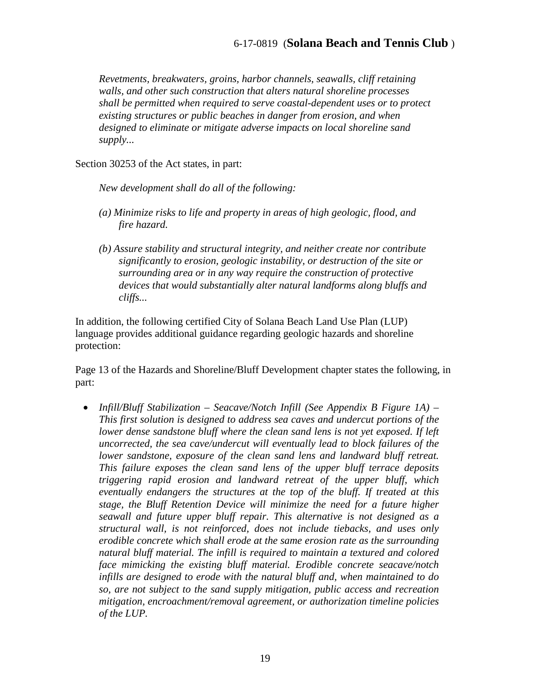*Revetments, breakwaters, groins, harbor channels, seawalls, cliff retaining walls, and other such construction that alters natural shoreline processes shall be permitted when required to serve coastal-dependent uses or to protect existing structures or public beaches in danger from erosion, and when designed to eliminate or mitigate adverse impacts on local shoreline sand supply...* 

Section 30253 of the Act states, in part:

*New development shall do all of the following:* 

- *(a) Minimize risks to life and property in areas of high geologic, flood, and fire hazard.*
- *(b) Assure stability and structural integrity, and neither create nor contribute significantly to erosion, geologic instability, or destruction of the site or surrounding area or in any way require the construction of protective devices that would substantially alter natural landforms along bluffs and cliffs...*

In addition, the following certified City of Solana Beach Land Use Plan (LUP) language provides additional guidance regarding geologic hazards and shoreline protection:

Page 13 of the Hazards and Shoreline/Bluff Development chapter states the following, in part:

• *Infill/Bluff Stabilization – Seacave/Notch Infill (See Appendix B Figure 1A) – This first solution is designed to address sea caves and undercut portions of the lower dense sandstone bluff where the clean sand lens is not yet exposed. If left uncorrected, the sea cave/undercut will eventually lead to block failures of the lower sandstone, exposure of the clean sand lens and landward bluff retreat. This failure exposes the clean sand lens of the upper bluff terrace deposits triggering rapid erosion and landward retreat of the upper bluff, which eventually endangers the structures at the top of the bluff. If treated at this stage, the Bluff Retention Device will minimize the need for a future higher seawall and future upper bluff repair. This alternative is not designed as a structural wall, is not reinforced, does not include tiebacks, and uses only erodible concrete which shall erode at the same erosion rate as the surrounding natural bluff material. The infill is required to maintain a textured and colored face mimicking the existing bluff material. Erodible concrete seacave/notch infills are designed to erode with the natural bluff and, when maintained to do so, are not subject to the sand supply mitigation, public access and recreation mitigation, encroachment/removal agreement, or authorization timeline policies of the LUP.*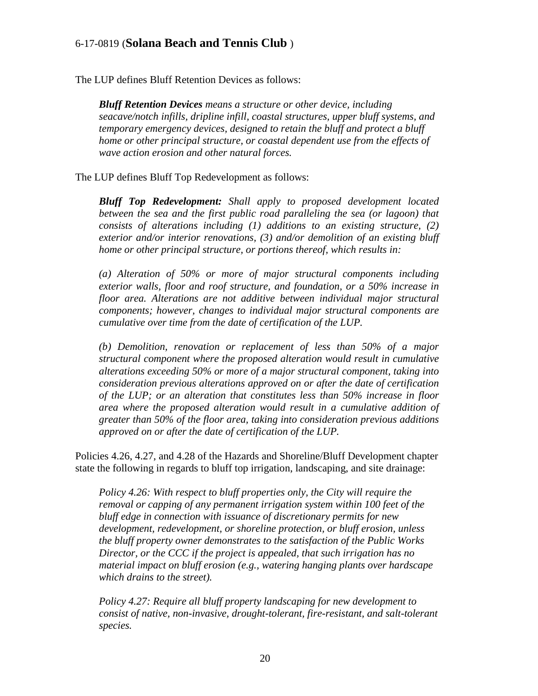The LUP defines Bluff Retention Devices as follows:

*Bluff Retention Devices means a structure or other device, including seacave/notch infills, dripline infill, coastal structures, upper bluff systems, and temporary emergency devices, designed to retain the bluff and protect a bluff home or other principal structure, or coastal dependent use from the effects of wave action erosion and other natural forces.*

The LUP defines Bluff Top Redevelopment as follows:

*Bluff Top Redevelopment: Shall apply to proposed development located between the sea and the first public road paralleling the sea (or lagoon) that consists of alterations including (1) additions to an existing structure, (2) exterior and/or interior renovations, (3) and/or demolition of an existing bluff home or other principal structure, or portions thereof, which results in:* 

*(a) Alteration of 50% or more of major structural components including exterior walls, floor and roof structure, and foundation, or a 50% increase in floor area. Alterations are not additive between individual major structural components; however, changes to individual major structural components are cumulative over time from the date of certification of the LUP.*

*(b) Demolition, renovation or replacement of less than 50% of a major structural component where the proposed alteration would result in cumulative alterations exceeding 50% or more of a major structural component, taking into consideration previous alterations approved on or after the date of certification of the LUP; or an alteration that constitutes less than 50% increase in floor area where the proposed alteration would result in a cumulative addition of greater than 50% of the floor area, taking into consideration previous additions approved on or after the date of certification of the LUP.* 

Policies 4.26, 4.27, and 4.28 of the Hazards and Shoreline/Bluff Development chapter state the following in regards to bluff top irrigation, landscaping, and site drainage:

*Policy 4.26: With respect to bluff properties only, the City will require the removal or capping of any permanent irrigation system within 100 feet of the bluff edge in connection with issuance of discretionary permits for new development, redevelopment, or shoreline protection, or bluff erosion, unless the bluff property owner demonstrates to the satisfaction of the Public Works Director, or the CCC if the project is appealed, that such irrigation has no material impact on bluff erosion (e.g., watering hanging plants over hardscape which drains to the street).*

*Policy 4.27: Require all bluff property landscaping for new development to consist of native, non-invasive, drought-tolerant, fire-resistant, and salt-tolerant species.*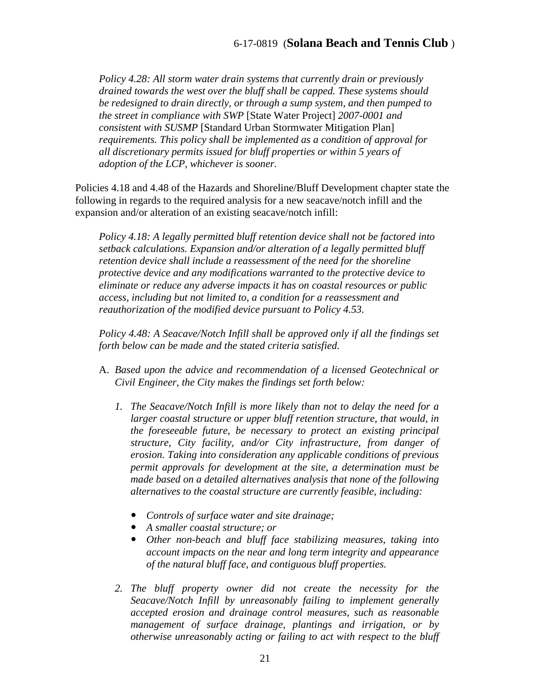*Policy 4.28: All storm water drain systems that currently drain or previously drained towards the west over the bluff shall be capped. These systems should be redesigned to drain directly, or through a sump system, and then pumped to the street in compliance with SWP* [State Water Project] *2007-0001 and consistent with SUSMP* [Standard Urban Stormwater Mitigation Plan] *requirements. This policy shall be implemented as a condition of approval for all discretionary permits issued for bluff properties or within 5 years of adoption of the LCP, whichever is sooner.* 

Policies 4.18 and 4.48 of the Hazards and Shoreline/Bluff Development chapter state the following in regards to the required analysis for a new seacave/notch infill and the expansion and/or alteration of an existing seacave/notch infill:

*Policy 4.18: A legally permitted bluff retention device shall not be factored into setback calculations. Expansion and/or alteration of a legally permitted bluff retention device shall include a reassessment of the need for the shoreline protective device and any modifications warranted to the protective device to eliminate or reduce any adverse impacts it has on coastal resources or public access, including but not limited to, a condition for a reassessment and reauthorization of the modified device pursuant to Policy 4.53.* 

*Policy 4.48: A Seacave/Notch Infill shall be approved only if all the findings set forth below can be made and the stated criteria satisfied.* 

- A. *Based upon the advice and recommendation of a licensed Geotechnical or Civil Engineer, the City makes the findings set forth below:* 
	- *1. The Seacave/Notch Infill is more likely than not to delay the need for a*  larger coastal structure or upper bluff retention structure, that would, in *the foreseeable future, be necessary to protect an existing principal structure, City facility, and/or City infrastructure, from danger of erosion. Taking into consideration any applicable conditions of previous permit approvals for development at the site, a determination must be made based on a detailed alternatives analysis that none of the following alternatives to the coastal structure are currently feasible, including:* 
		- *Controls of surface water and site drainage;*
		- *A smaller coastal structure; or*
		- *Other non-beach and bluff face stabilizing measures, taking into account impacts on the near and long term integrity and appearance of the natural bluff face, and contiguous bluff properties.*
	- 2. The bluff property owner did not create the necessity for the *Seacave/Notch Infill by unreasonably failing to implement generally accepted erosion and drainage control measures, such as reasonable management of surface drainage, plantings and irrigation, or by otherwise unreasonably acting or failing to act with respect to the bluff*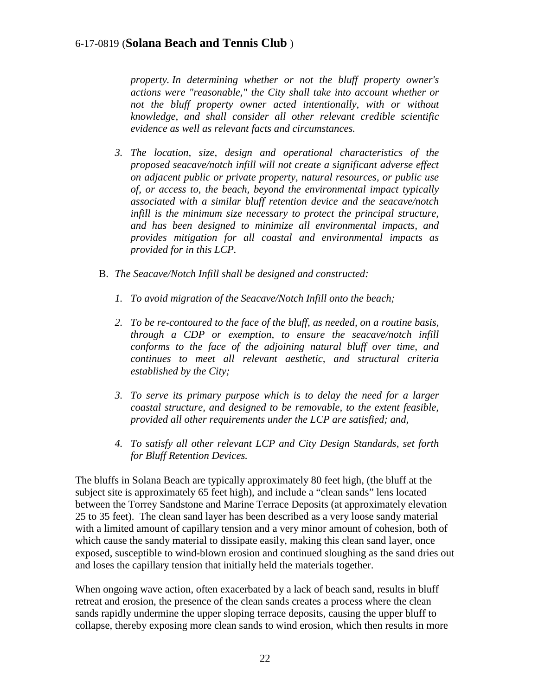*property. In determining whether or not the bluff property owner's actions were "reasonable," the City shall take into account whether or not the bluff property owner acted intentionally, with or without knowledge, and shall consider all other relevant credible scientific evidence as well as relevant facts and circumstances.* 

- *3. The location, size, design and operational characteristics of the proposed seacave/notch infill will not create a significant adverse effect on adjacent public or private property, natural resources, or public use of, or access to, the beach, beyond the environmental impact typically associated with a similar bluff retention device and the seacave/notch infill is the minimum size necessary to protect the principal structure, and has been designed to minimize all environmental impacts, and provides mitigation for all coastal and environmental impacts as provided for in this LCP.*
- B. *The Seacave/Notch Infill shall be designed and constructed:* 
	- *1. To avoid migration of the Seacave/Notch Infill onto the beach;*
	- *2. To be re-contoured to the face of the bluff, as needed, on a routine basis, through a CDP or exemption, to ensure the seacave/notch infill conforms to the face of the adjoining natural bluff over time, and continues to meet all relevant aesthetic, and structural criteria established by the City;*
	- *3. To serve its primary purpose which is to delay the need for a larger coastal structure, and designed to be removable, to the extent feasible, provided all other requirements under the LCP are satisfied; and,*
	- *4. To satisfy all other relevant LCP and City Design Standards, set forth for Bluff Retention Devices.*

The bluffs in Solana Beach are typically approximately 80 feet high, (the bluff at the subject site is approximately 65 feet high), and include a "clean sands" lens located between the Torrey Sandstone and Marine Terrace Deposits (at approximately elevation 25 to 35 feet). The clean sand layer has been described as a very loose sandy material with a limited amount of capillary tension and a very minor amount of cohesion, both of which cause the sandy material to dissipate easily, making this clean sand layer, once exposed, susceptible to wind-blown erosion and continued sloughing as the sand dries out and loses the capillary tension that initially held the materials together.

When ongoing wave action, often exacerbated by a lack of beach sand, results in bluff retreat and erosion, the presence of the clean sands creates a process where the clean sands rapidly undermine the upper sloping terrace deposits, causing the upper bluff to collapse, thereby exposing more clean sands to wind erosion, which then results in more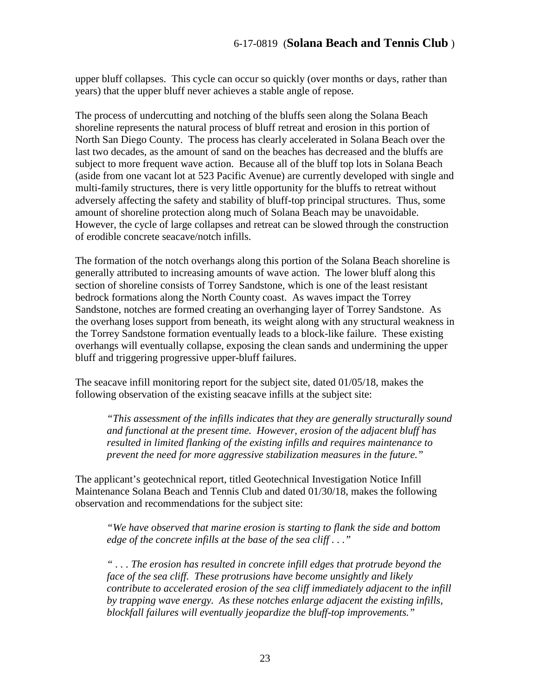upper bluff collapses. This cycle can occur so quickly (over months or days, rather than years) that the upper bluff never achieves a stable angle of repose.

The process of undercutting and notching of the bluffs seen along the Solana Beach shoreline represents the natural process of bluff retreat and erosion in this portion of North San Diego County. The process has clearly accelerated in Solana Beach over the last two decades, as the amount of sand on the beaches has decreased and the bluffs are subject to more frequent wave action. Because all of the bluff top lots in Solana Beach (aside from one vacant lot at 523 Pacific Avenue) are currently developed with single and multi-family structures, there is very little opportunity for the bluffs to retreat without adversely affecting the safety and stability of bluff-top principal structures. Thus, some amount of shoreline protection along much of Solana Beach may be unavoidable. However, the cycle of large collapses and retreat can be slowed through the construction of erodible concrete seacave/notch infills.

The formation of the notch overhangs along this portion of the Solana Beach shoreline is generally attributed to increasing amounts of wave action. The lower bluff along this section of shoreline consists of Torrey Sandstone, which is one of the least resistant bedrock formations along the North County coast. As waves impact the Torrey Sandstone, notches are formed creating an overhanging layer of Torrey Sandstone. As the overhang loses support from beneath, its weight along with any structural weakness in the Torrey Sandstone formation eventually leads to a block-like failure. These existing overhangs will eventually collapse, exposing the clean sands and undermining the upper bluff and triggering progressive upper-bluff failures.

The seacave infill monitoring report for the subject site, dated 01/05/18, makes the following observation of the existing seacave infills at the subject site:

*"This assessment of the infills indicates that they are generally structurally sound and functional at the present time. However, erosion of the adjacent bluff has resulted in limited flanking of the existing infills and requires maintenance to prevent the need for more aggressive stabilization measures in the future."* 

The applicant's geotechnical report, titled Geotechnical Investigation Notice Infill Maintenance Solana Beach and Tennis Club and dated 01/30/18, makes the following observation and recommendations for the subject site:

*"We have observed that marine erosion is starting to flank the side and bottom edge of the concrete infills at the base of the sea cliff . . ."* 

*" . . . The erosion has resulted in concrete infill edges that protrude beyond the face of the sea cliff. These protrusions have become unsightly and likely contribute to accelerated erosion of the sea cliff immediately adjacent to the infill by trapping wave energy. As these notches enlarge adjacent the existing infills, blockfall failures will eventually jeopardize the bluff-top improvements."*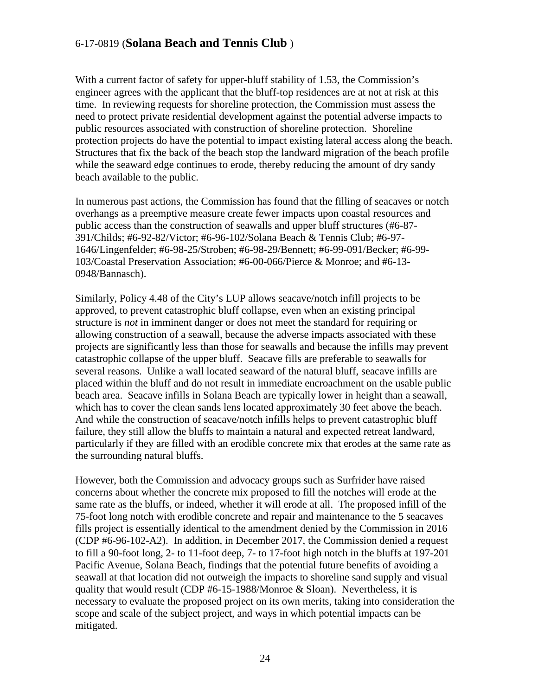With a current factor of safety for upper-bluff stability of 1.53, the Commission's engineer agrees with the applicant that the bluff-top residences are at not at risk at this time. In reviewing requests for shoreline protection, the Commission must assess the need to protect private residential development against the potential adverse impacts to public resources associated with construction of shoreline protection. Shoreline protection projects do have the potential to impact existing lateral access along the beach. Structures that fix the back of the beach stop the landward migration of the beach profile while the seaward edge continues to erode, thereby reducing the amount of dry sandy beach available to the public.

In numerous past actions, the Commission has found that the filling of seacaves or notch overhangs as a preemptive measure create fewer impacts upon coastal resources and public access than the construction of seawalls and upper bluff structures (#6-87- 391/Childs; #6-92-82/Victor; #6-96-102/Solana Beach & Tennis Club; #6-97- 1646/Lingenfelder; #6-98-25/Stroben; #6-98-29/Bennett; #6-99-091/Becker; #6-99- 103/Coastal Preservation Association; #6-00-066/Pierce & Monroe; and #6-13- 0948/Bannasch).

Similarly, Policy 4.48 of the City's LUP allows seacave/notch infill projects to be approved, to prevent catastrophic bluff collapse, even when an existing principal structure is *not* in imminent danger or does not meet the standard for requiring or allowing construction of a seawall, because the adverse impacts associated with these projects are significantly less than those for seawalls and because the infills may prevent catastrophic collapse of the upper bluff. Seacave fills are preferable to seawalls for several reasons. Unlike a wall located seaward of the natural bluff, seacave infills are placed within the bluff and do not result in immediate encroachment on the usable public beach area. Seacave infills in Solana Beach are typically lower in height than a seawall, which has to cover the clean sands lens located approximately 30 feet above the beach. And while the construction of seacave/notch infills helps to prevent catastrophic bluff failure, they still allow the bluffs to maintain a natural and expected retreat landward, particularly if they are filled with an erodible concrete mix that erodes at the same rate as the surrounding natural bluffs.

However, both the Commission and advocacy groups such as Surfrider have raised concerns about whether the concrete mix proposed to fill the notches will erode at the same rate as the bluffs, or indeed, whether it will erode at all. The proposed infill of the 75-foot long notch with erodible concrete and repair and maintenance to the 5 seacaves fills project is essentially identical to the amendment denied by the Commission in 2016 (CDP #6-96-102-A2). In addition, in December 2017, the Commission denied a request to fill a 90-foot long, 2- to 11-foot deep, 7- to 17-foot high notch in the bluffs at 197-201 Pacific Avenue, Solana Beach, findings that the potential future benefits of avoiding a seawall at that location did not outweigh the impacts to shoreline sand supply and visual quality that would result (CDP  $#6-15-1988/M$ onroe & Sloan). Nevertheless, it is necessary to evaluate the proposed project on its own merits, taking into consideration the scope and scale of the subject project, and ways in which potential impacts can be mitigated.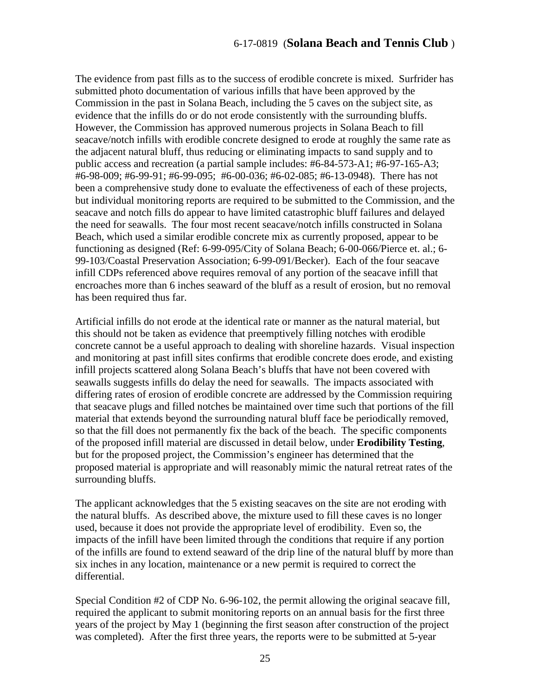The evidence from past fills as to the success of erodible concrete is mixed. Surfrider has submitted photo documentation of various infills that have been approved by the Commission in the past in Solana Beach, including the 5 caves on the subject site, as evidence that the infills do or do not erode consistently with the surrounding bluffs. However, the Commission has approved numerous projects in Solana Beach to fill seacave/notch infills with erodible concrete designed to erode at roughly the same rate as the adjacent natural bluff, thus reducing or eliminating impacts to sand supply and to public access and recreation (a partial sample includes: #6-84-573-A1; #6-97-165-A3; #6-98-009; #6-99-91; #6-99-095; #6-00-036; #6-02-085; #6-13-0948). There has not been a comprehensive study done to evaluate the effectiveness of each of these projects, but individual monitoring reports are required to be submitted to the Commission, and the seacave and notch fills do appear to have limited catastrophic bluff failures and delayed the need for seawalls. The four most recent seacave/notch infills constructed in Solana Beach, which used a similar erodible concrete mix as currently proposed, appear to be functioning as designed (Ref: 6-99-095/City of Solana Beach; 6-00-066/Pierce et. al.; 6- 99-103/Coastal Preservation Association; 6-99-091/Becker). Each of the four seacave infill CDPs referenced above requires removal of any portion of the seacave infill that encroaches more than 6 inches seaward of the bluff as a result of erosion, but no removal has been required thus far.

Artificial infills do not erode at the identical rate or manner as the natural material, but this should not be taken as evidence that preemptively filling notches with erodible concrete cannot be a useful approach to dealing with shoreline hazards. Visual inspection and monitoring at past infill sites confirms that erodible concrete does erode, and existing infill projects scattered along Solana Beach's bluffs that have not been covered with seawalls suggests infills do delay the need for seawalls. The impacts associated with differing rates of erosion of erodible concrete are addressed by the Commission requiring that seacave plugs and filled notches be maintained over time such that portions of the fill material that extends beyond the surrounding natural bluff face be periodically removed, so that the fill does not permanently fix the back of the beach. The specific components of the proposed infill material are discussed in detail below, under **Erodibility Testing**, but for the proposed project, the Commission's engineer has determined that the proposed material is appropriate and will reasonably mimic the natural retreat rates of the surrounding bluffs.

The applicant acknowledges that the 5 existing seacaves on the site are not eroding with the natural bluffs. As described above, the mixture used to fill these caves is no longer used, because it does not provide the appropriate level of erodibility. Even so, the impacts of the infill have been limited through the conditions that require if any portion of the infills are found to extend seaward of the drip line of the natural bluff by more than six inches in any location, maintenance or a new permit is required to correct the differential.

Special Condition #2 of CDP No. 6-96-102, the permit allowing the original seacave fill, required the applicant to submit monitoring reports on an annual basis for the first three years of the project by May 1 (beginning the first season after construction of the project was completed). After the first three years, the reports were to be submitted at 5-year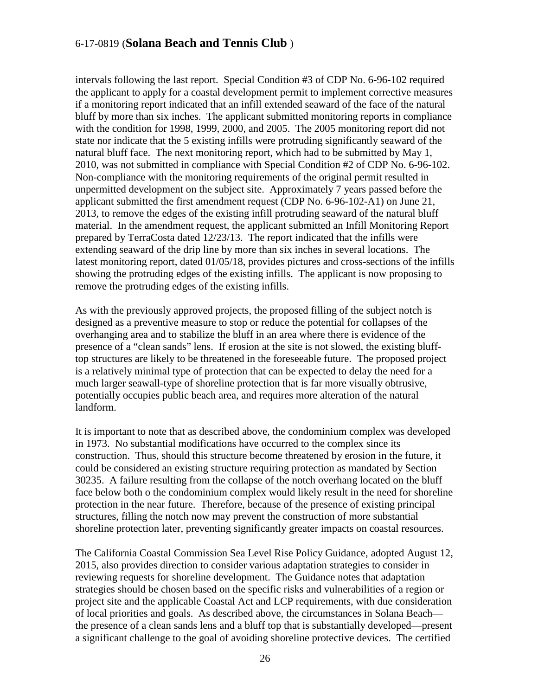intervals following the last report. Special Condition #3 of CDP No. 6-96-102 required the applicant to apply for a coastal development permit to implement corrective measures if a monitoring report indicated that an infill extended seaward of the face of the natural bluff by more than six inches. The applicant submitted monitoring reports in compliance with the condition for 1998, 1999, 2000, and 2005. The 2005 monitoring report did not state nor indicate that the 5 existing infills were protruding significantly seaward of the natural bluff face. The next monitoring report, which had to be submitted by May 1, 2010, was not submitted in compliance with Special Condition #2 of CDP No. 6-96-102. Non-compliance with the monitoring requirements of the original permit resulted in unpermitted development on the subject site. Approximately 7 years passed before the applicant submitted the first amendment request (CDP No. 6-96-102-A1) on June 21, 2013, to remove the edges of the existing infill protruding seaward of the natural bluff material. In the amendment request, the applicant submitted an Infill Monitoring Report prepared by TerraCosta dated 12/23/13. The report indicated that the infills were extending seaward of the drip line by more than six inches in several locations. The latest monitoring report, dated 01/05/18, provides pictures and cross-sections of the infills showing the protruding edges of the existing infills. The applicant is now proposing to remove the protruding edges of the existing infills.

As with the previously approved projects, the proposed filling of the subject notch is designed as a preventive measure to stop or reduce the potential for collapses of the overhanging area and to stabilize the bluff in an area where there is evidence of the presence of a "clean sands" lens. If erosion at the site is not slowed, the existing blufftop structures are likely to be threatened in the foreseeable future. The proposed project is a relatively minimal type of protection that can be expected to delay the need for a much larger seawall-type of shoreline protection that is far more visually obtrusive, potentially occupies public beach area, and requires more alteration of the natural landform.

It is important to note that as described above, the condominium complex was developed in 1973. No substantial modifications have occurred to the complex since its construction. Thus, should this structure become threatened by erosion in the future, it could be considered an existing structure requiring protection as mandated by Section 30235. A failure resulting from the collapse of the notch overhang located on the bluff face below both o the condominium complex would likely result in the need for shoreline protection in the near future. Therefore, because of the presence of existing principal structures, filling the notch now may prevent the construction of more substantial shoreline protection later, preventing significantly greater impacts on coastal resources.

The California Coastal Commission Sea Level Rise Policy Guidance, adopted August 12, 2015, also provides direction to consider various adaptation strategies to consider in reviewing requests for shoreline development. The Guidance notes that adaptation strategies should be chosen based on the specific risks and vulnerabilities of a region or project site and the applicable Coastal Act and LCP requirements, with due consideration of local priorities and goals. As described above, the circumstances in Solana Beach the presence of a clean sands lens and a bluff top that is substantially developed—present a significant challenge to the goal of avoiding shoreline protective devices. The certified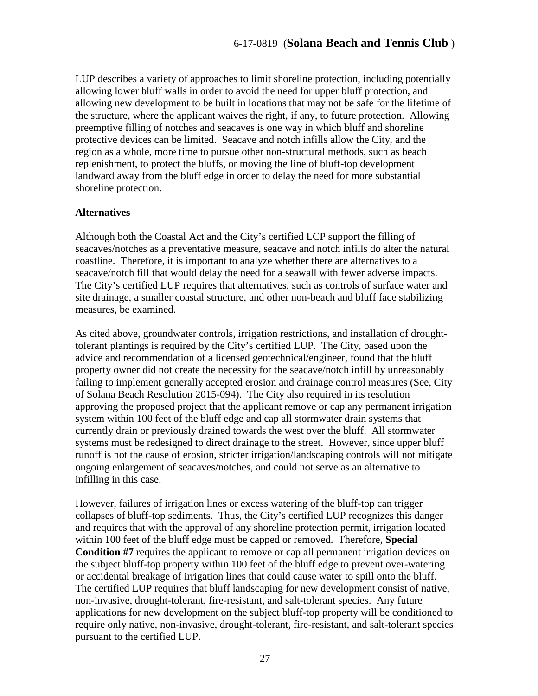LUP describes a variety of approaches to limit shoreline protection, including potentially allowing lower bluff walls in order to avoid the need for upper bluff protection, and allowing new development to be built in locations that may not be safe for the lifetime of the structure, where the applicant waives the right, if any, to future protection. Allowing preemptive filling of notches and seacaves is one way in which bluff and shoreline protective devices can be limited. Seacave and notch infills allow the City, and the region as a whole, more time to pursue other non-structural methods, such as beach replenishment, to protect the bluffs, or moving the line of bluff-top development landward away from the bluff edge in order to delay the need for more substantial shoreline protection.

#### **Alternatives**

Although both the Coastal Act and the City's certified LCP support the filling of seacaves/notches as a preventative measure, seacave and notch infills do alter the natural coastline. Therefore, it is important to analyze whether there are alternatives to a seacave/notch fill that would delay the need for a seawall with fewer adverse impacts. The City's certified LUP requires that alternatives, such as controls of surface water and site drainage, a smaller coastal structure, and other non-beach and bluff face stabilizing measures, be examined.

As cited above, groundwater controls, irrigation restrictions, and installation of droughttolerant plantings is required by the City's certified LUP. The City, based upon the advice and recommendation of a licensed geotechnical/engineer, found that the bluff property owner did not create the necessity for the seacave/notch infill by unreasonably failing to implement generally accepted erosion and drainage control measures (See, City of Solana Beach Resolution 2015-094). The City also required in its resolution approving the proposed project that the applicant remove or cap any permanent irrigation system within 100 feet of the bluff edge and cap all stormwater drain systems that currently drain or previously drained towards the west over the bluff. All stormwater systems must be redesigned to direct drainage to the street. However, since upper bluff runoff is not the cause of erosion, stricter irrigation/landscaping controls will not mitigate ongoing enlargement of seacaves/notches, and could not serve as an alternative to infilling in this case.

However, failures of irrigation lines or excess watering of the bluff-top can trigger collapses of bluff-top sediments. Thus, the City's certified LUP recognizes this danger and requires that with the approval of any shoreline protection permit, irrigation located within 100 feet of the bluff edge must be capped or removed. Therefore, **Special Condition #7** requires the applicant to remove or cap all permanent irrigation devices on the subject bluff-top property within 100 feet of the bluff edge to prevent over-watering or accidental breakage of irrigation lines that could cause water to spill onto the bluff. The certified LUP requires that bluff landscaping for new development consist of native, non-invasive, drought-tolerant, fire-resistant, and salt-tolerant species. Any future applications for new development on the subject bluff-top property will be conditioned to require only native, non-invasive, drought-tolerant, fire-resistant, and salt-tolerant species pursuant to the certified LUP.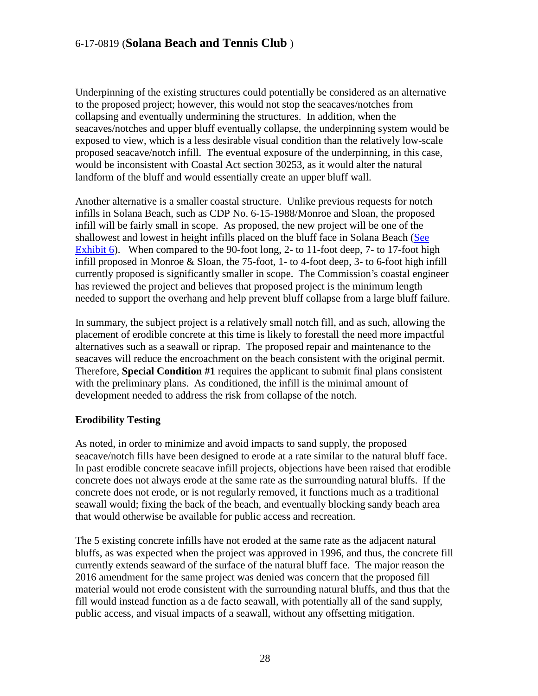Underpinning of the existing structures could potentially be considered as an alternative to the proposed project; however, this would not stop the seacaves/notches from collapsing and eventually undermining the structures. In addition, when the seacaves/notches and upper bluff eventually collapse, the underpinning system would be exposed to view, which is a less desirable visual condition than the relatively low-scale proposed seacave/notch infill. The eventual exposure of the underpinning, in this case, would be inconsistent with Coastal Act section 30253, as it would alter the natural landform of the bluff and would essentially create an upper bluff wall.

Another alternative is a smaller coastal structure. Unlike previous requests for notch infills in Solana Beach, such as CDP No. 6-15-1988/Monroe and Sloan, the proposed infill will be fairly small in scope. As proposed, the new project will be one of the shallowest and lowest in height infills placed on the bluff face in Solana Beach [\(See](https://documents.coastal.ca.gov/reports/2018/6/th15a/th15a-6-2018-exhibits.pdf)  [Exhibit 6\)](https://documents.coastal.ca.gov/reports/2018/6/th15a/th15a-6-2018-exhibits.pdf). When compared to the 90-foot long, 2- to 11-foot deep, 7- to 17-foot high infill proposed in Monroe & Sloan, the 75-foot, 1- to 4-foot deep, 3- to 6-foot high infill currently proposed is significantly smaller in scope. The Commission's coastal engineer has reviewed the project and believes that proposed project is the minimum length needed to support the overhang and help prevent bluff collapse from a large bluff failure.

In summary, the subject project is a relatively small notch fill, and as such, allowing the placement of erodible concrete at this time is likely to forestall the need more impactful alternatives such as a seawall or riprap. The proposed repair and maintenance to the seacaves will reduce the encroachment on the beach consistent with the original permit. Therefore, **Special Condition #1** requires the applicant to submit final plans consistent with the preliminary plans. As conditioned, the infill is the minimal amount of development needed to address the risk from collapse of the notch.

#### **Erodibility Testing**

As noted, in order to minimize and avoid impacts to sand supply, the proposed seacave/notch fills have been designed to erode at a rate similar to the natural bluff face. In past erodible concrete seacave infill projects, objections have been raised that erodible concrete does not always erode at the same rate as the surrounding natural bluffs. If the concrete does not erode, or is not regularly removed, it functions much as a traditional seawall would; fixing the back of the beach, and eventually blocking sandy beach area that would otherwise be available for public access and recreation.

The 5 existing concrete infills have not eroded at the same rate as the adjacent natural bluffs, as was expected when the project was approved in 1996, and thus, the concrete fill currently extends seaward of the surface of the natural bluff face. The major reason the 2016 amendment for the same project was denied was concern that the proposed fill material would not erode consistent with the surrounding natural bluffs, and thus that the fill would instead function as a de facto seawall, with potentially all of the sand supply, public access, and visual impacts of a seawall, without any offsetting mitigation.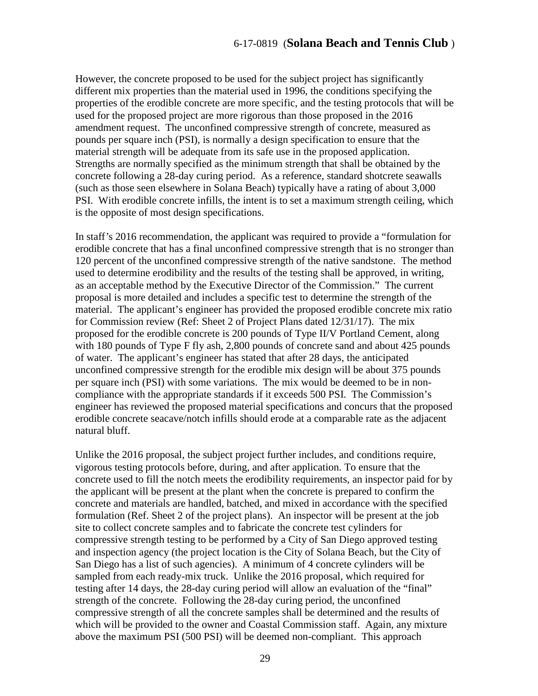However, the concrete proposed to be used for the subject project has significantly different mix properties than the material used in 1996, the conditions specifying the properties of the erodible concrete are more specific, and the testing protocols that will be used for the proposed project are more rigorous than those proposed in the 2016 amendment request. The unconfined compressive strength of concrete, measured as pounds per square inch (PSI), is normally a design specification to ensure that the material strength will be adequate from its safe use in the proposed application. Strengths are normally specified as the minimum strength that shall be obtained by the concrete following a 28-day curing period. As a reference, standard shotcrete seawalls (such as those seen elsewhere in Solana Beach) typically have a rating of about 3,000 PSI. With erodible concrete infills, the intent is to set a maximum strength ceiling, which is the opposite of most design specifications.

In staff's 2016 recommendation, the applicant was required to provide a "formulation for erodible concrete that has a final unconfined compressive strength that is no stronger than 120 percent of the unconfined compressive strength of the native sandstone. The method used to determine erodibility and the results of the testing shall be approved, in writing, as an acceptable method by the Executive Director of the Commission." The current proposal is more detailed and includes a specific test to determine the strength of the material. The applicant's engineer has provided the proposed erodible concrete mix ratio for Commission review (Ref: Sheet 2 of Project Plans dated 12/31/17). The mix proposed for the erodible concrete is 200 pounds of Type II/V Portland Cement, along with 180 pounds of Type F fly ash, 2,800 pounds of concrete sand and about 425 pounds of water. The applicant's engineer has stated that after 28 days, the anticipated unconfined compressive strength for the erodible mix design will be about 375 pounds per square inch (PSI) with some variations. The mix would be deemed to be in noncompliance with the appropriate standards if it exceeds 500 PSI. The Commission's engineer has reviewed the proposed material specifications and concurs that the proposed erodible concrete seacave/notch infills should erode at a comparable rate as the adjacent natural bluff.

Unlike the 2016 proposal, the subject project further includes, and conditions require, vigorous testing protocols before, during, and after application. To ensure that the concrete used to fill the notch meets the erodibility requirements, an inspector paid for by the applicant will be present at the plant when the concrete is prepared to confirm the concrete and materials are handled, batched, and mixed in accordance with the specified formulation (Ref. Sheet 2 of the project plans). An inspector will be present at the job site to collect concrete samples and to fabricate the concrete test cylinders for compressive strength testing to be performed by a City of San Diego approved testing and inspection agency (the project location is the City of Solana Beach, but the City of San Diego has a list of such agencies). A minimum of 4 concrete cylinders will be sampled from each ready-mix truck. Unlike the 2016 proposal, which required for testing after 14 days, the 28-day curing period will allow an evaluation of the "final" strength of the concrete. Following the 28-day curing period, the unconfined compressive strength of all the concrete samples shall be determined and the results of which will be provided to the owner and Coastal Commission staff. Again, any mixture above the maximum PSI (500 PSI) will be deemed non-compliant. This approach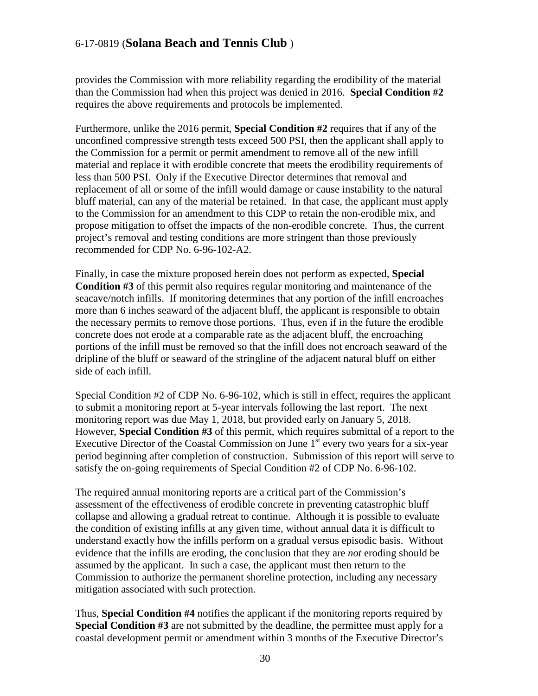provides the Commission with more reliability regarding the erodibility of the material than the Commission had when this project was denied in 2016. **Special Condition #2** requires the above requirements and protocols be implemented.

Furthermore, unlike the 2016 permit, **Special Condition #2** requires that if any of the unconfined compressive strength tests exceed 500 PSI, then the applicant shall apply to the Commission for a permit or permit amendment to remove all of the new infill material and replace it with erodible concrete that meets the erodibility requirements of less than 500 PSI. Only if the Executive Director determines that removal and replacement of all or some of the infill would damage or cause instability to the natural bluff material, can any of the material be retained. In that case, the applicant must apply to the Commission for an amendment to this CDP to retain the non-erodible mix, and propose mitigation to offset the impacts of the non-erodible concrete. Thus, the current project's removal and testing conditions are more stringent than those previously recommended for CDP No. 6-96-102-A2.

Finally, in case the mixture proposed herein does not perform as expected, **Special Condition #3** of this permit also requires regular monitoring and maintenance of the seacave/notch infills. If monitoring determines that any portion of the infill encroaches more than 6 inches seaward of the adjacent bluff, the applicant is responsible to obtain the necessary permits to remove those portions. Thus, even if in the future the erodible concrete does not erode at a comparable rate as the adjacent bluff, the encroaching portions of the infill must be removed so that the infill does not encroach seaward of the dripline of the bluff or seaward of the stringline of the adjacent natural bluff on either side of each infill.

Special Condition #2 of CDP No. 6-96-102, which is still in effect, requires the applicant to submit a monitoring report at 5-year intervals following the last report. The next monitoring report was due May 1, 2018, but provided early on January 5, 2018. However, **Special Condition #3** of this permit, which requires submittal of a report to the Executive Director of the Coastal Commission on June  $1<sup>st</sup>$  every two years for a six-year period beginning after completion of construction. Submission of this report will serve to satisfy the on-going requirements of Special Condition #2 of CDP No. 6-96-102.

The required annual monitoring reports are a critical part of the Commission's assessment of the effectiveness of erodible concrete in preventing catastrophic bluff collapse and allowing a gradual retreat to continue. Although it is possible to evaluate the condition of existing infills at any given time, without annual data it is difficult to understand exactly how the infills perform on a gradual versus episodic basis. Without evidence that the infills are eroding, the conclusion that they are *not* eroding should be assumed by the applicant. In such a case, the applicant must then return to the Commission to authorize the permanent shoreline protection, including any necessary mitigation associated with such protection.

Thus, **Special Condition #4** notifies the applicant if the monitoring reports required by **Special Condition #3** are not submitted by the deadline, the permittee must apply for a coastal development permit or amendment within 3 months of the Executive Director's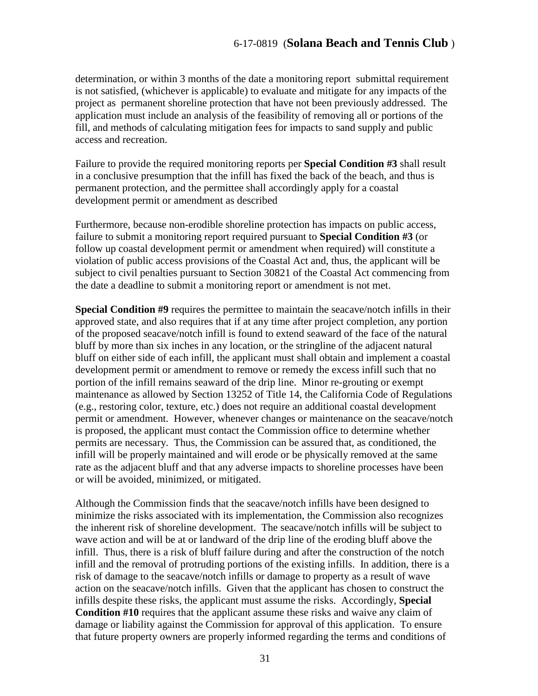determination, or within 3 months of the date a monitoring report submittal requirement is not satisfied, (whichever is applicable) to evaluate and mitigate for any impacts of the project as permanent shoreline protection that have not been previously addressed. The application must include an analysis of the feasibility of removing all or portions of the fill, and methods of calculating mitigation fees for impacts to sand supply and public access and recreation.

Failure to provide the required monitoring reports per **Special Condition #3** shall result in a conclusive presumption that the infill has fixed the back of the beach, and thus is permanent protection, and the permittee shall accordingly apply for a coastal development permit or amendment as described

Furthermore, because non-erodible shoreline protection has impacts on public access, failure to submit a monitoring report required pursuant to **Special Condition #3** (or follow up coastal development permit or amendment when required) will constitute a violation of public access provisions of the Coastal Act and, thus, the applicant will be subject to civil penalties pursuant to Section 30821 of the Coastal Act commencing from the date a deadline to submit a monitoring report or amendment is not met.

**Special Condition #9** requires the permittee to maintain the seacave/notch infills in their approved state, and also requires that if at any time after project completion, any portion of the proposed seacave/notch infill is found to extend seaward of the face of the natural bluff by more than six inches in any location, or the stringline of the adjacent natural bluff on either side of each infill, the applicant must shall obtain and implement a coastal development permit or amendment to remove or remedy the excess infill such that no portion of the infill remains seaward of the drip line. Minor re-grouting or exempt maintenance as allowed by Section 13252 of Title 14, the California Code of Regulations (e.g., restoring color, texture, etc.) does not require an additional coastal development permit or amendment. However, whenever changes or maintenance on the seacave/notch is proposed, the applicant must contact the Commission office to determine whether permits are necessary. Thus, the Commission can be assured that, as conditioned, the infill will be properly maintained and will erode or be physically removed at the same rate as the adjacent bluff and that any adverse impacts to shoreline processes have been or will be avoided, minimized, or mitigated.

Although the Commission finds that the seacave/notch infills have been designed to minimize the risks associated with its implementation, the Commission also recognizes the inherent risk of shoreline development. The seacave/notch infills will be subject to wave action and will be at or landward of the drip line of the eroding bluff above the infill. Thus, there is a risk of bluff failure during and after the construction of the notch infill and the removal of protruding portions of the existing infills. In addition, there is a risk of damage to the seacave/notch infills or damage to property as a result of wave action on the seacave/notch infills. Given that the applicant has chosen to construct the infills despite these risks, the applicant must assume the risks. Accordingly, **Special Condition #10** requires that the applicant assume these risks and waive any claim of damage or liability against the Commission for approval of this application. To ensure that future property owners are properly informed regarding the terms and conditions of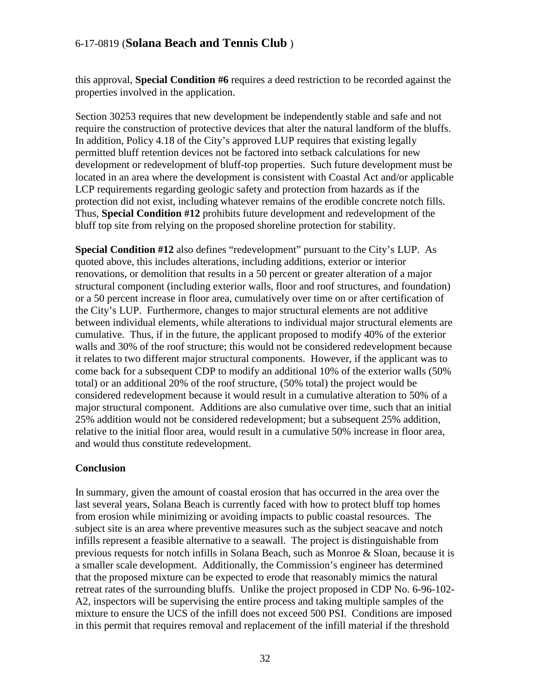this approval, **Special Condition #6** requires a deed restriction to be recorded against the properties involved in the application.

Section 30253 requires that new development be independently stable and safe and not require the construction of protective devices that alter the natural landform of the bluffs. In addition, Policy 4.18 of the City's approved LUP requires that existing legally permitted bluff retention devices not be factored into setback calculations for new development or redevelopment of bluff-top properties. Such future development must be located in an area where the development is consistent with Coastal Act and/or applicable LCP requirements regarding geologic safety and protection from hazards as if the protection did not exist, including whatever remains of the erodible concrete notch fills. Thus, **Special Condition #12** prohibits future development and redevelopment of the bluff top site from relying on the proposed shoreline protection for stability.

**Special Condition #12** also defines "redevelopment" pursuant to the City's LUP. As quoted above, this includes alterations, including additions, exterior or interior renovations, or demolition that results in a 50 percent or greater alteration of a major structural component (including exterior walls, floor and roof structures, and foundation) or a 50 percent increase in floor area, cumulatively over time on or after certification of the City's LUP. Furthermore, changes to major structural elements are not additive between individual elements, while alterations to individual major structural elements are cumulative. Thus, if in the future, the applicant proposed to modify 40% of the exterior walls and 30% of the roof structure; this would not be considered redevelopment because it relates to two different major structural components. However, if the applicant was to come back for a subsequent CDP to modify an additional 10% of the exterior walls (50% total) or an additional 20% of the roof structure, (50% total) the project would be considered redevelopment because it would result in a cumulative alteration to 50% of a major structural component. Additions are also cumulative over time, such that an initial 25% addition would not be considered redevelopment; but a subsequent 25% addition, relative to the initial floor area, would result in a cumulative 50% increase in floor area, and would thus constitute redevelopment.

#### **Conclusion**

In summary, given the amount of coastal erosion that has occurred in the area over the last several years, Solana Beach is currently faced with how to protect bluff top homes from erosion while minimizing or avoiding impacts to public coastal resources. The subject site is an area where preventive measures such as the subject seacave and notch infills represent a feasible alternative to a seawall. The project is distinguishable from previous requests for notch infills in Solana Beach, such as Monroe & Sloan, because it is a smaller scale development. Additionally, the Commission's engineer has determined that the proposed mixture can be expected to erode that reasonably mimics the natural retreat rates of the surrounding bluffs. Unlike the project proposed in CDP No. 6-96-102- A2, inspectors will be supervising the entire process and taking multiple samples of the mixture to ensure the UCS of the infill does not exceed 500 PSI. Conditions are imposed in this permit that requires removal and replacement of the infill material if the threshold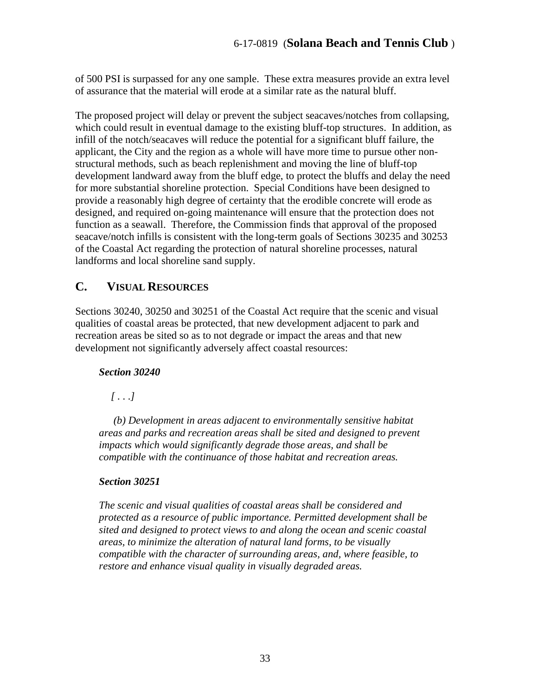of 500 PSI is surpassed for any one sample. These extra measures provide an extra level of assurance that the material will erode at a similar rate as the natural bluff.

The proposed project will delay or prevent the subject seacaves/notches from collapsing, which could result in eventual damage to the existing bluff-top structures. In addition, as infill of the notch/seacaves will reduce the potential for a significant bluff failure, the applicant, the City and the region as a whole will have more time to pursue other nonstructural methods, such as beach replenishment and moving the line of bluff-top development landward away from the bluff edge, to protect the bluffs and delay the need for more substantial shoreline protection. Special Conditions have been designed to provide a reasonably high degree of certainty that the erodible concrete will erode as designed, and required on-going maintenance will ensure that the protection does not function as a seawall. Therefore, the Commission finds that approval of the proposed seacave/notch infills is consistent with the long-term goals of Sections 30235 and 30253 of the Coastal Act regarding the protection of natural shoreline processes, natural landforms and local shoreline sand supply.

# <span id="page-32-0"></span>**C. VISUAL RESOURCES**

Sections 30240, 30250 and 30251 of the Coastal Act require that the scenic and visual qualities of coastal areas be protected, that new development adjacent to park and recreation areas be sited so as to not degrade or impact the areas and that new development not significantly adversely affect coastal resources:

#### *Section 30240*

 *[ . . .]* 

 *(b) Development in areas adjacent to environmentally sensitive habitat areas and parks and recreation areas shall be sited and designed to prevent impacts which would significantly degrade those areas, and shall be compatible with the continuance of those habitat and recreation areas.* 

#### *Section 30251*

*The scenic and visual qualities of coastal areas shall be considered and protected as a resource of public importance. Permitted development shall be sited and designed to protect views to and along the ocean and scenic coastal areas, to minimize the alteration of natural land forms, to be visually compatible with the character of surrounding areas, and, where feasible, to restore and enhance visual quality in visually degraded areas.*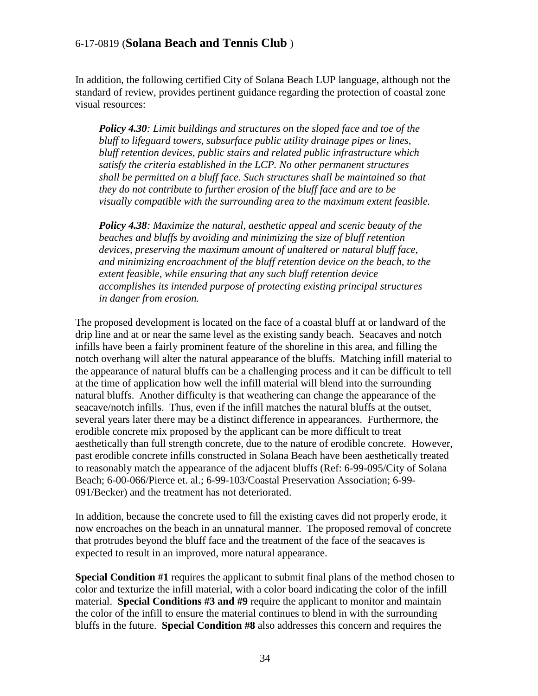In addition, the following certified City of Solana Beach LUP language, although not the standard of review, provides pertinent guidance regarding the protection of coastal zone visual resources:

*Policy 4.30: Limit buildings and structures on the sloped face and toe of the bluff to lifeguard towers, subsurface public utility drainage pipes or lines, bluff retention devices, public stairs and related public infrastructure which satisfy the criteria established in the LCP. No other permanent structures shall be permitted on a bluff face. Such structures shall be maintained so that they do not contribute to further erosion of the bluff face and are to be visually compatible with the surrounding area to the maximum extent feasible.* 

*Policy 4.38: Maximize the natural, aesthetic appeal and scenic beauty of the beaches and bluffs by avoiding and minimizing the size of bluff retention devices, preserving the maximum amount of unaltered or natural bluff face, and minimizing encroachment of the bluff retention device on the beach, to the extent feasible, while ensuring that any such bluff retention device accomplishes its intended purpose of protecting existing principal structures in danger from erosion.* 

The proposed development is located on the face of a coastal bluff at or landward of the drip line and at or near the same level as the existing sandy beach. Seacaves and notch infills have been a fairly prominent feature of the shoreline in this area, and filling the notch overhang will alter the natural appearance of the bluffs. Matching infill material to the appearance of natural bluffs can be a challenging process and it can be difficult to tell at the time of application how well the infill material will blend into the surrounding natural bluffs. Another difficulty is that weathering can change the appearance of the seacave/notch infills. Thus, even if the infill matches the natural bluffs at the outset, several years later there may be a distinct difference in appearances. Furthermore, the erodible concrete mix proposed by the applicant can be more difficult to treat aesthetically than full strength concrete, due to the nature of erodible concrete. However, past erodible concrete infills constructed in Solana Beach have been aesthetically treated to reasonably match the appearance of the adjacent bluffs (Ref: 6-99-095/City of Solana Beach; 6-00-066/Pierce et. al.; 6-99-103/Coastal Preservation Association; 6-99- 091/Becker) and the treatment has not deteriorated.

In addition, because the concrete used to fill the existing caves did not properly erode, it now encroaches on the beach in an unnatural manner. The proposed removal of concrete that protrudes beyond the bluff face and the treatment of the face of the seacaves is expected to result in an improved, more natural appearance.

**Special Condition #1** requires the applicant to submit final plans of the method chosen to color and texturize the infill material, with a color board indicating the color of the infill material. **Special Conditions #3 and #9** require the applicant to monitor and maintain the color of the infill to ensure the material continues to blend in with the surrounding bluffs in the future. **Special Condition #8** also addresses this concern and requires the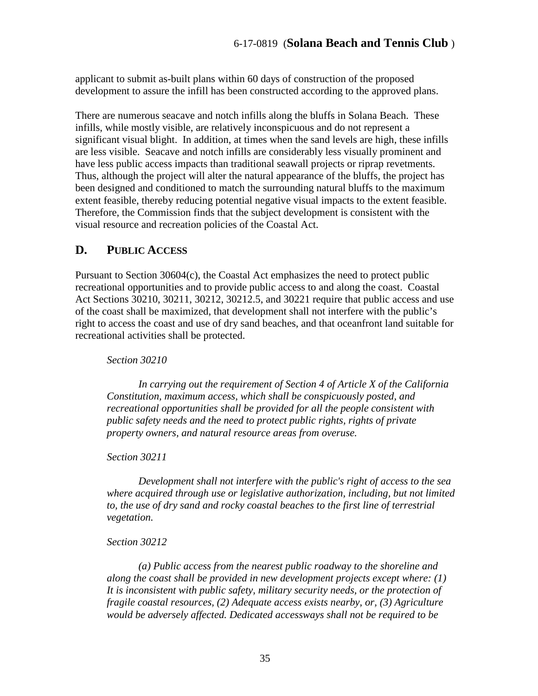applicant to submit as-built plans within 60 days of construction of the proposed development to assure the infill has been constructed according to the approved plans.

There are numerous seacave and notch infills along the bluffs in Solana Beach. These infills, while mostly visible, are relatively inconspicuous and do not represent a significant visual blight. In addition, at times when the sand levels are high, these infills are less visible. Seacave and notch infills are considerably less visually prominent and have less public access impacts than traditional seawall projects or riprap revetments. Thus, although the project will alter the natural appearance of the bluffs, the project has been designed and conditioned to match the surrounding natural bluffs to the maximum extent feasible, thereby reducing potential negative visual impacts to the extent feasible. Therefore, the Commission finds that the subject development is consistent with the visual resource and recreation policies of the Coastal Act.

## <span id="page-34-0"></span>**D. PUBLIC ACCESS**

Pursuant to Section 30604(c), the Coastal Act emphasizes the need to protect public recreational opportunities and to provide public access to and along the coast. Coastal Act Sections 30210, 30211, 30212, 30212.5, and 30221 require that public access and use of the coast shall be maximized, that development shall not interfere with the public's right to access the coast and use of dry sand beaches, and that oceanfront land suitable for recreational activities shall be protected.

*Section 30210* 

 *In carrying out the requirement of Section 4 of Article X of the California Constitution, maximum access, which shall be conspicuously posted, and recreational opportunities shall be provided for all the people consistent with public safety needs and the need to protect public rights, rights of private property owners, and natural resource areas from overuse.* 

*Section 30211* 

 *Development shall not interfere with the public's right of access to the sea where acquired through use or legislative authorization, including, but not limited to, the use of dry sand and rocky coastal beaches to the first line of terrestrial vegetation.* 

*Section 30212* 

 *(a) Public access from the nearest public roadway to the shoreline and along the coast shall be provided in new development projects except where: (1) It is inconsistent with public safety, military security needs, or the protection of fragile coastal resources, (2) Adequate access exists nearby, or, (3) Agriculture would be adversely affected. Dedicated accessways shall not be required to be*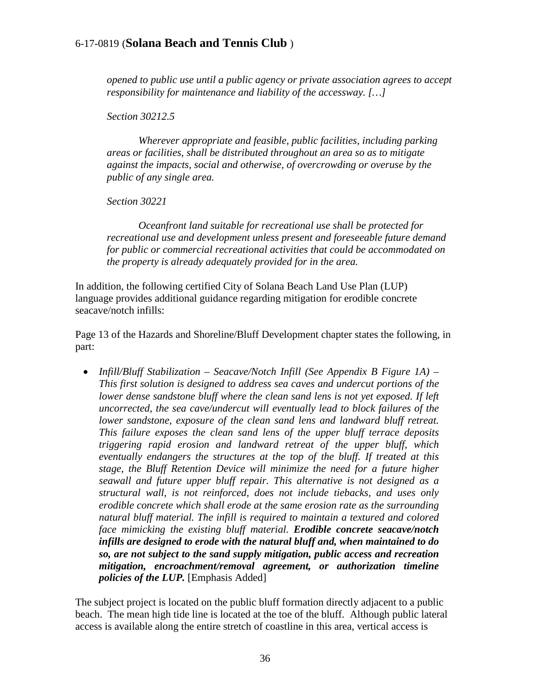*opened to public use until a public agency or private association agrees to accept responsibility for maintenance and liability of the accessway. […]* 

*Section 30212.5* 

 *Wherever appropriate and feasible, public facilities, including parking areas or facilities, shall be distributed throughout an area so as to mitigate against the impacts, social and otherwise, of overcrowding or overuse by the public of any single area.* 

*Section 30221* 

*Oceanfront land suitable for recreational use shall be protected for recreational use and development unless present and foreseeable future demand for public or commercial recreational activities that could be accommodated on the property is already adequately provided for in the area.* 

In addition, the following certified City of Solana Beach Land Use Plan (LUP) language provides additional guidance regarding mitigation for erodible concrete seacave/notch infills:

Page 13 of the Hazards and Shoreline/Bluff Development chapter states the following, in part:

• *Infill/Bluff Stabilization – Seacave/Notch Infill (See Appendix B Figure 1A) – This first solution is designed to address sea caves and undercut portions of the lower dense sandstone bluff where the clean sand lens is not yet exposed. If left uncorrected, the sea cave/undercut will eventually lead to block failures of the lower sandstone, exposure of the clean sand lens and landward bluff retreat. This failure exposes the clean sand lens of the upper bluff terrace deposits triggering rapid erosion and landward retreat of the upper bluff, which eventually endangers the structures at the top of the bluff. If treated at this stage, the Bluff Retention Device will minimize the need for a future higher seawall and future upper bluff repair. This alternative is not designed as a structural wall, is not reinforced, does not include tiebacks, and uses only erodible concrete which shall erode at the same erosion rate as the surrounding natural bluff material. The infill is required to maintain a textured and colored face mimicking the existing bluff material. Erodible concrete seacave/notch infills are designed to erode with the natural bluff and, when maintained to do so, are not subject to the sand supply mitigation, public access and recreation mitigation, encroachment/removal agreement, or authorization timeline policies of the LUP.* [Emphasis Added]

The subject project is located on the public bluff formation directly adjacent to a public beach. The mean high tide line is located at the toe of the bluff. Although public lateral access is available along the entire stretch of coastline in this area, vertical access is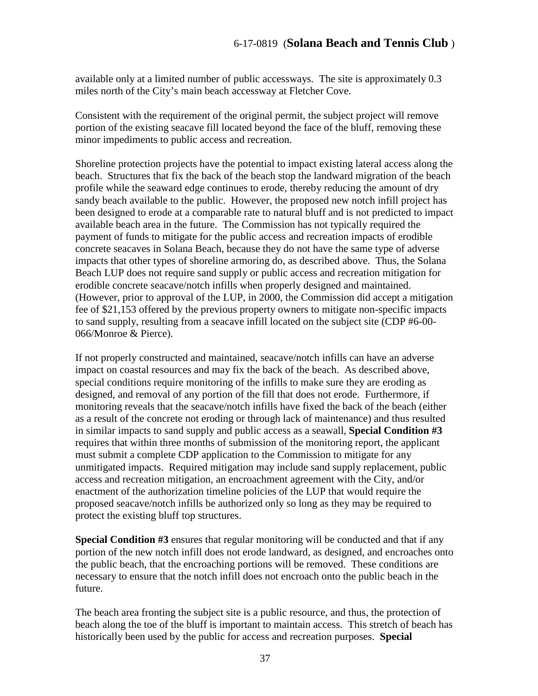available only at a limited number of public accessways. The site is approximately 0.3 miles north of the City's main beach accessway at Fletcher Cove.

Consistent with the requirement of the original permit, the subject project will remove portion of the existing seacave fill located beyond the face of the bluff, removing these minor impediments to public access and recreation.

Shoreline protection projects have the potential to impact existing lateral access along the beach. Structures that fix the back of the beach stop the landward migration of the beach profile while the seaward edge continues to erode, thereby reducing the amount of dry sandy beach available to the public. However, the proposed new notch infill project has been designed to erode at a comparable rate to natural bluff and is not predicted to impact available beach area in the future. The Commission has not typically required the payment of funds to mitigate for the public access and recreation impacts of erodible concrete seacaves in Solana Beach, because they do not have the same type of adverse impacts that other types of shoreline armoring do, as described above. Thus, the Solana Beach LUP does not require sand supply or public access and recreation mitigation for erodible concrete seacave/notch infills when properly designed and maintained. (However, prior to approval of the LUP, in 2000, the Commission did accept a mitigation fee of \$21,153 offered by the previous property owners to mitigate non-specific impacts to sand supply, resulting from a seacave infill located on the subject site (CDP #6-00- 066/Monroe & Pierce).

If not properly constructed and maintained, seacave/notch infills can have an adverse impact on coastal resources and may fix the back of the beach. As described above, special conditions require monitoring of the infills to make sure they are eroding as designed, and removal of any portion of the fill that does not erode. Furthermore, if monitoring reveals that the seacave/notch infills have fixed the back of the beach (either as a result of the concrete not eroding or through lack of maintenance) and thus resulted in similar impacts to sand supply and public access as a seawall, **Special Condition #3**  requires that within three months of submission of the monitoring report, the applicant must submit a complete CDP application to the Commission to mitigate for any unmitigated impacts. Required mitigation may include sand supply replacement, public access and recreation mitigation, an encroachment agreement with the City, and/or enactment of the authorization timeline policies of the LUP that would require the proposed seacave/notch infills be authorized only so long as they may be required to protect the existing bluff top structures.

**Special Condition #3** ensures that regular monitoring will be conducted and that if any portion of the new notch infill does not erode landward, as designed, and encroaches onto the public beach, that the encroaching portions will be removed. These conditions are necessary to ensure that the notch infill does not encroach onto the public beach in the future.

The beach area fronting the subject site is a public resource, and thus, the protection of beach along the toe of the bluff is important to maintain access. This stretch of beach has historically been used by the public for access and recreation purposes. **Special**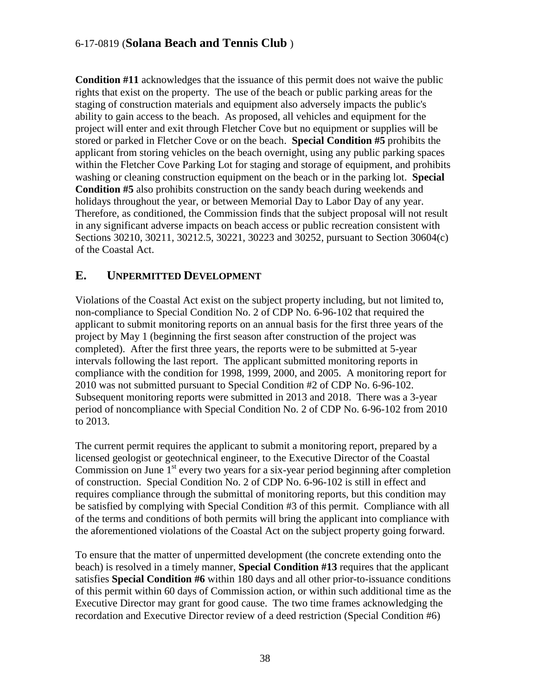**Condition #11** acknowledges that the issuance of this permit does not waive the public rights that exist on the property. The use of the beach or public parking areas for the staging of construction materials and equipment also adversely impacts the public's ability to gain access to the beach. As proposed, all vehicles and equipment for the project will enter and exit through Fletcher Cove but no equipment or supplies will be stored or parked in Fletcher Cove or on the beach. **Special Condition #5** prohibits the applicant from storing vehicles on the beach overnight, using any public parking spaces within the Fletcher Cove Parking Lot for staging and storage of equipment, and prohibits washing or cleaning construction equipment on the beach or in the parking lot. **Special Condition #5** also prohibits construction on the sandy beach during weekends and holidays throughout the year, or between Memorial Day to Labor Day of any year. Therefore, as conditioned, the Commission finds that the subject proposal will not result in any significant adverse impacts on beach access or public recreation consistent with Sections 30210, 30211, 30212.5, 30221, 30223 and 30252, pursuant to Section 30604(c) of the Coastal Act.

## <span id="page-37-0"></span>**E. UNPERMITTED DEVELOPMENT**

Violations of the Coastal Act exist on the subject property including, but not limited to, non-compliance to Special Condition No. 2 of CDP No. 6-96-102 that required the applicant to submit monitoring reports on an annual basis for the first three years of the project by May 1 (beginning the first season after construction of the project was completed). After the first three years, the reports were to be submitted at 5-year intervals following the last report. The applicant submitted monitoring reports in compliance with the condition for 1998, 1999, 2000, and 2005. A monitoring report for 2010 was not submitted pursuant to Special Condition #2 of CDP No. 6-96-102. Subsequent monitoring reports were submitted in 2013 and 2018. There was a 3-year period of noncompliance with Special Condition No. 2 of CDP No. 6-96-102 from 2010 to 2013.

The current permit requires the applicant to submit a monitoring report, prepared by a licensed geologist or geotechnical engineer, to the Executive Director of the Coastal Commission on June  $1<sup>st</sup>$  every two years for a six-year period beginning after completion of construction. Special Condition No. 2 of CDP No. 6-96-102 is still in effect and requires compliance through the submittal of monitoring reports, but this condition may be satisfied by complying with Special Condition #3 of this permit. Compliance with all of the terms and conditions of both permits will bring the applicant into compliance with the aforementioned violations of the Coastal Act on the subject property going forward.

To ensure that the matter of unpermitted development (the concrete extending onto the beach) is resolved in a timely manner, **Special Condition #13** requires that the applicant satisfies **Special Condition #6** within 180 days and all other prior-to-issuance conditions of this permit within 60 days of Commission action, or within such additional time as the Executive Director may grant for good cause. The two time frames acknowledging the recordation and Executive Director review of a deed restriction (Special Condition #6)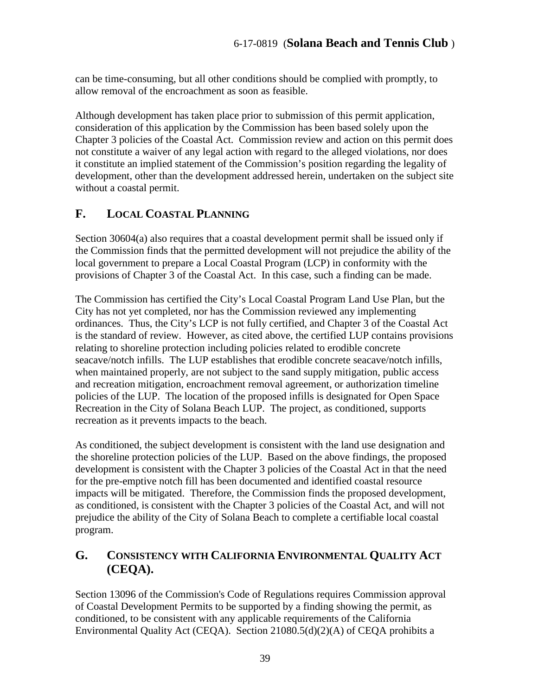can be time-consuming, but all other conditions should be complied with promptly, to allow removal of the encroachment as soon as feasible.

Although development has taken place prior to submission of this permit application, consideration of this application by the Commission has been based solely upon the Chapter 3 policies of the Coastal Act. Commission review and action on this permit does not constitute a waiver of any legal action with regard to the alleged violations, nor does it constitute an implied statement of the Commission's position regarding the legality of development, other than the development addressed herein, undertaken on the subject site without a coastal permit.

# <span id="page-38-0"></span>**F. LOCAL COASTAL PLANNING**

Section 30604(a) also requires that a coastal development permit shall be issued only if the Commission finds that the permitted development will not prejudice the ability of the local government to prepare a Local Coastal Program (LCP) in conformity with the provisions of Chapter 3 of the Coastal Act. In this case, such a finding can be made.

The Commission has certified the City's Local Coastal Program Land Use Plan, but the City has not yet completed, nor has the Commission reviewed any implementing ordinances. Thus, the City's LCP is not fully certified, and Chapter 3 of the Coastal Act is the standard of review. However, as cited above, the certified LUP contains provisions relating to shoreline protection including policies related to erodible concrete seacave/notch infills. The LUP establishes that erodible concrete seacave/notch infills, when maintained properly, are not subject to the sand supply mitigation, public access and recreation mitigation, encroachment removal agreement, or authorization timeline policies of the LUP. The location of the proposed infills is designated for Open Space Recreation in the City of Solana Beach LUP. The project, as conditioned, supports recreation as it prevents impacts to the beach.

As conditioned, the subject development is consistent with the land use designation and the shoreline protection policies of the LUP. Based on the above findings, the proposed development is consistent with the Chapter 3 policies of the Coastal Act in that the need for the pre-emptive notch fill has been documented and identified coastal resource impacts will be mitigated. Therefore, the Commission finds the proposed development, as conditioned, is consistent with the Chapter 3 policies of the Coastal Act, and will not prejudice the ability of the City of Solana Beach to complete a certifiable local coastal program.

## <span id="page-38-1"></span>**G. CONSISTENCY WITH CALIFORNIA ENVIRONMENTAL QUALITY ACT (CEQA).**

Section 13096 of the Commission's Code of Regulations requires Commission approval of Coastal Development Permits to be supported by a finding showing the permit, as conditioned, to be consistent with any applicable requirements of the California Environmental Quality Act (CEQA). Section 21080.5(d)(2)(A) of CEQA prohibits a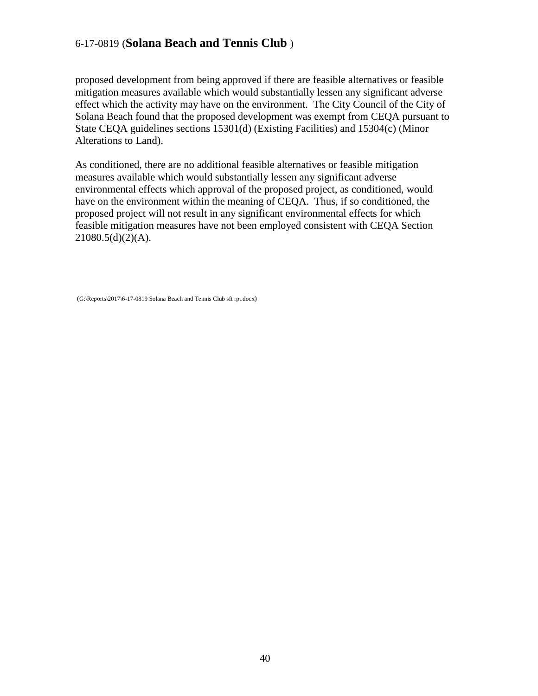proposed development from being approved if there are feasible alternatives or feasible mitigation measures available which would substantially lessen any significant adverse effect which the activity may have on the environment. The City Council of the City of Solana Beach found that the proposed development was exempt from CEQA pursuant to State CEQA guidelines sections 15301(d) (Existing Facilities) and 15304(c) (Minor Alterations to Land).

As conditioned, there are no additional feasible alternatives or feasible mitigation measures available which would substantially lessen any significant adverse environmental effects which approval of the proposed project, as conditioned, would have on the environment within the meaning of CEQA. Thus, if so conditioned, the proposed project will not result in any significant environmental effects for which feasible mitigation measures have not been employed consistent with CEQA Section  $21080.5(d)(2)(A)$ .

(G:\Reports\2017\6-17-0819 Solana Beach and Tennis Club sft rpt.docx)